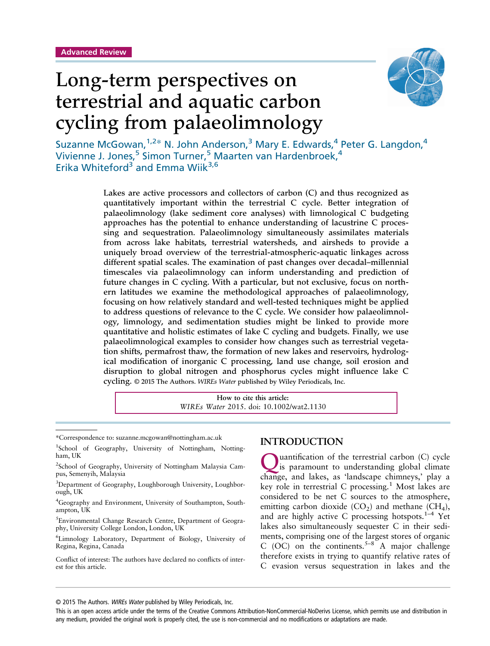

# Long-term perspectives on terrestrial and aquatic carbon cycling from palaeolimnology

Suzanne McGowan,<sup>1,2\*</sup> N. John Anderson,<sup>3</sup> Mary E. Edwards,<sup>4</sup> Peter G. Langdon,<sup>4</sup> Vivienne J. Jones,<sup>5</sup> Simon Turner,<sup>5</sup> Maarten van Hardenbroek,<sup>4</sup> Erika Whiteford<sup>3</sup> and Emma Wiik<sup>3,6</sup>

> Lakes are active processors and collectors of carbon (C) and thus recognized as quantitatively important within the terrestrial C cycle. Better integration of palaeolimnology (lake sediment core analyses) with limnological C budgeting approaches has the potential to enhance understanding of lacustrine C processing and sequestration. Palaeolimnology simultaneously assimilates materials from across lake habitats, terrestrial watersheds, and airsheds to provide a uniquely broad overview of the terrestrial-atmospheric-aquatic linkages across different spatial scales. The examination of past changes over decadal–millennial timescales via palaeolimnology can inform understanding and prediction of future changes in C cycling. With a particular, but not exclusive, focus on northern latitudes we examine the methodological approaches of palaeolimnology, focusing on how relatively standard and well-tested techniques might be applied to address questions of relevance to the C cycle. We consider how palaeolimnology, limnology, and sedimentation studies might be linked to provide more quantitative and holistic estimates of lake C cycling and budgets. Finally, we use palaeolimnological examples to consider how changes such as terrestrial vegetation shifts, permafrost thaw, the formation of new lakes and reservoirs, hydrological modification of inorganic C processing, land use change, soil erosion and disruption to global nitrogen and phosphorus cycles might influence lake C cycling. © 2015 The Authors. *WIREs Water* published by Wiley Periodicals, Inc.

> > **How to cite this article:** *WIREs Water* 2015. doi: 10.1002/wat2.1130

\*Correspondence to: suzanne.mcgowan@nottingham.ac.uk

Conflict of interest: The authors have declared no conflicts of interest for this article.

### **INTRODUCTION**

uantification of the terrestrial carbon (C) cycle is paramount to understanding global climate change, and lakes, as 'landscape chimneys,' play a key role in terrestrial C processing.<sup>1</sup> Most lakes are considered to be net C sources to the atmosphere, emitting carbon dioxide  $(CO_2)$  and methane  $(CH_4)$ , and are highly active C processing hotspots. $1-4$  Yet lakes also simultaneously sequester C in their sediments, comprising one of the largest stores of organic C (OC) on the continents.<sup>5–8</sup> A major challenge therefore exists in trying to quantify relative rates of C evasion versus sequestration in lakes and the

© 2015 The Authors. WIREs Water published by Wiley Periodicals, Inc.

<sup>&</sup>lt;sup>1</sup>School of Geography, University of Nottingham, Nottingham, UK

<sup>&</sup>lt;sup>2</sup>School of Geography, University of Nottingham Malaysia Campus, Semenyih, Malaysia

<sup>&</sup>lt;sup>3</sup>Department of Geography, Loughborough University, Loughborough, UK

<sup>&</sup>lt;sup>4</sup>Geography and Environment, University of Southampton, Southampton, UK

<sup>5</sup> Environmental Change Research Centre, Department of Geography, University College London, London, UK

<sup>6</sup> Limnology Laboratory, Department of Biology, University of Regina, Regina, Canada

This is an open access article under the terms of the [Creative Commons Attribution-NonCommercial-NoDerivs](http://creativecommons.org/licenses/by-nc-nd/4.0/) License, which permits use and distribution in any medium, provided the original work is properly cited, the use is non-commercial and no modifications or adaptations are made.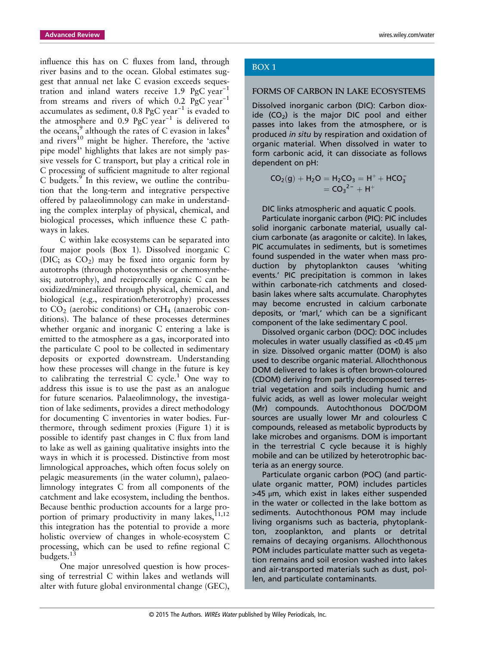influence this has on C fluxes from land, through river basins and to the ocean. Global estimates suggest that annual net lake C evasion exceeds sequestration and inland waters receive 1.9 PgC year<sup>-1</sup> from streams and rivers of which 0.2 PgC year<sup>-1</sup> accumulates as sediment, 0.8 PgC year−<sup>1</sup> is evaded to the atmosphere and 0.9 PgC year−<sup>1</sup> is delivered to the oceans, $9$  although the rates of C evasion in lakes<sup>4</sup> and rivers $^{10}$  might be higher. Therefore, the 'active pipe model' highlights that lakes are not simply passive vessels for C transport, but play a critical role in C processing of sufficient magnitude to alter regional  $C$  budgets. $9$  In this review, we outline the contribution that the long-term and integrative perspective offered by palaeolimnology can make in understanding the complex interplay of physical, chemical, and biological processes, which influence these C pathways in lakes.

C within lake ecosystems can be separated into four major pools (Box 1). Dissolved inorganic C (DIC; as  $CO<sub>2</sub>$ ) may be fixed into organic form by autotrophs (through photosynthesis or chemosynthesis; autotrophy), and reciprocally organic C can be oxidized/mineralized through physical, chemical, and biological (e.g., respiration/heterotrophy) processes to  $CO<sub>2</sub>$  (aerobic conditions) or  $CH<sub>4</sub>$  (anaerobic conditions). The balance of these processes determines whether organic and inorganic C entering a lake is emitted to the atmosphere as a gas, incorporated into the particulate C pool to be collected in sedimentary deposits or exported downstream. Understanding how these processes will change in the future is key to calibrating the terrestrial  $C$  cycle.<sup>1</sup> One way to address this issue is to use the past as an analogue for future scenarios. Palaeolimnology, the investigation of lake sediments, provides a direct methodology for documenting C inventories in water bodies. Furthermore, through sediment proxies (Figure 1) it is possible to identify past changes in C flux from land to lake as well as gaining qualitative insights into the ways in which it is processed. Distinctive from most limnological approaches, which often focus solely on pelagic measurements (in the water column), palaeolimnology integrates C from all components of the catchment and lake ecosystem, including the benthos. Because benthic production accounts for a large proportion of primary productivity in many lakes,<sup>11,12</sup> this integration has the potential to provide a more holistic overview of changes in whole-ecosystem C processing, which can be used to refine regional C budgets. $13$ 

One major unresolved question is how processing of terrestrial C within lakes and wetlands will alter with future global environmental change (GEC),

### BOX 1

#### FORMS OF CARBON IN LAKE ECOSYSTEMS

Dissolved inorganic carbon (DIC): Carbon dioxide  $(CO<sub>2</sub>)$  is the major DIC pool and either passes into lakes from the atmosphere, or is produced *in situ* by respiration and oxidation of organic material. When dissolved in water to form carbonic acid, it can dissociate as follows dependent on pH:

$$
CO2(g) + H2O = H2CO3 = H+ + HCO3-
$$

$$
= CO32- + H+
$$

DIC links atmospheric and aquatic C pools.

Particulate inorganic carbon (PIC): PIC includes solid inorganic carbonate material, usually calcium carbonate (as aragonite or calcite). In lakes, PIC accumulates in sediments, but is sometimes found suspended in the water when mass production by phytoplankton causes 'whiting events.' PIC precipitation is common in lakes within carbonate-rich catchments and closedbasin lakes where salts accumulate. Charophytes may become encrusted in calcium carbonate deposits, or 'marl,' which can be a significant component of the lake sedimentary C pool.

Dissolved organic carbon (DOC): DOC includes molecules in water usually classified as <0.45 μm in size. Dissolved organic matter (DOM) is also used to describe organic material. Allochthonous DOM delivered to lakes is often brown-coloured (CDOM) deriving from partly decomposed terrestrial vegetation and soils including humic and fulvic acids, as well as lower molecular weight (Mr) compounds. Autochthonous DOC/DOM sources are usually lower Mr and colourless C compounds, released as metabolic byproducts by lake microbes and organisms. DOM is important in the terrestrial C cycle because it is highly mobile and can be utilized by heterotrophic bacteria as an energy source.

Particulate organic carbon (POC) (and particulate organic matter, POM) includes particles  $>45 \mu m$ , which exist in lakes either suspended in the water or collected in the lake bottom as sediments. Autochthonous POM may include living organisms such as bacteria, phytoplankton, zooplankton, and plants or detrital remains of decaying organisms. Allochthonous POM includes particulate matter such as vegetation remains and soil erosion washed into lakes and air-transported materials such as dust, pollen, and particulate contaminants.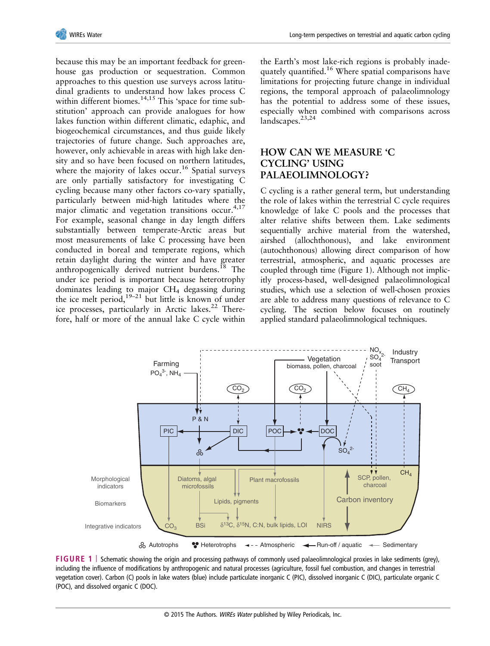

because this may be an important feedback for greenhouse gas production or sequestration. Common approaches to this question use surveys across latitudinal gradients to understand how lakes process C within different biomes.<sup>14,15</sup> This 'space for time substitution' approach can provide analogues for how lakes function within different climatic, edaphic, and biogeochemical circumstances, and thus guide likely trajectories of future change. Such approaches are, however, only achievable in areas with high lake density and so have been focused on northern latitudes, where the majority of lakes occur.<sup>16</sup> Spatial surveys are only partially satisfactory for investigating C cycling because many other factors co-vary spatially, particularly between mid-high latitudes where the major climatic and vegetation transitions occur. $4,17$ For example, seasonal change in day length differs substantially between temperate-Arctic areas but most measurements of lake C processing have been conducted in boreal and temperate regions, which retain daylight during the winter and have greater anthropogenically derived nutrient burdens.<sup>18</sup> The under ice period is important because heterotrophy dominates leading to major  $CH<sub>4</sub>$  degassing during the ice melt period, $19-21$  but little is known of under ice processes, particularly in Arctic lakes.<sup>22</sup> Therefore, half or more of the annual lake C cycle within

the Earth's most lake-rich regions is probably inadequately quantified.<sup>16</sup> Where spatial comparisons have limitations for projecting future change in individual regions, the temporal approach of palaeolimnology has the potential to address some of these issues, especially when combined with comparisons across landscapes.<sup>23,24</sup>

# **HOW CAN WE MEASURE 'C CYCLING' USING PALAEOLIMNOLOGY?**

C cycling is a rather general term, but understanding the role of lakes within the terrestrial C cycle requires knowledge of lake C pools and the processes that alter relative shifts between them. Lake sediments sequentially archive material from the watershed, airshed (allochthonous), and lake environment (autochthonous) allowing direct comparison of how terrestrial, atmospheric, and aquatic processes are coupled through time (Figure 1). Although not implicitly process-based, well-designed palaeolimnological studies, which use a selection of well-chosen proxies are able to address many questions of relevance to C cycling. The section below focuses on routinely applied standard palaeolimnological techniques.



**FIGURE 1** | Schematic showing the origin and processing pathways of commonly used palaeolimnological proxies in lake sediments (grey), including the influence of modifications by anthropogenic and natural processes (agriculture, fossil fuel combustion, and changes in terrestrial vegetation cover). Carbon (C) pools in lake waters (blue) include particulate inorganic C (PIC), dissolved inorganic C (DIC), particulate organic C (POC), and dissolved organic C (DOC).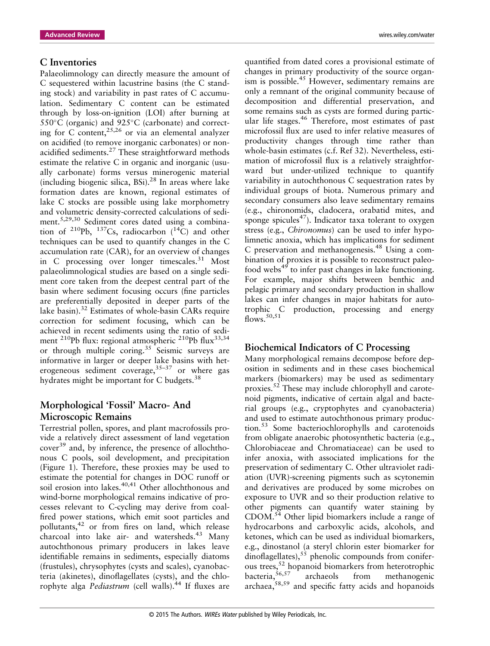### **C Inventories**

Palaeolimnology can directly measure the amount of C sequestered within lacustrine basins (the C standing stock) and variability in past rates of C accumulation. Sedimentary C content can be estimated through by loss-on-ignition (LOI) after burning at  $550^{\circ}$ C (organic) and  $925^{\circ}$ C (carbonate) and correcting for C content,  $25,26$  or via an elemental analyzer on acidified (to remove inorganic carbonates) or nonacidified sediments.<sup>27</sup> These straightforward methods estimate the relative C in organic and inorganic (usually carbonate) forms versus minerogenic material (including biogenic silica, BSi).<sup>28</sup> In areas where lake formation dates are known, regional estimates of lake C stocks are possible using lake morphometry and volumetric density-corrected calculations of sediment.5,29,30 Sediment cores dated using a combination of  $^{210}Pb$ ,  $^{137}Cs$ , radiocarbon  $(^{14}C)$  and other techniques can be used to quantify changes in the C accumulation rate (CAR), for an overview of changes in C processing over longer timescales. $31$  Most palaeolimnological studies are based on a single sediment core taken from the deepest central part of the basin where sediment focusing occurs (fine particles are preferentially deposited in deeper parts of the lake basin).<sup>32</sup> Estimates of whole-basin CARs require correction for sediment focusing, which can be achieved in recent sediments using the ratio of sediment <sup>210</sup>Pb flux: regional atmospheric <sup>210</sup>Pb flux<sup>33,34</sup> or through multiple coring.<sup>35</sup> Seismic surveys are informative in larger or deeper lake basins with heterogeneous sediment coverage,  $35-37$  or where gas hydrates might be important for C budgets.<sup>38</sup>

# **Morphological 'Fossil' Macro- And Microscopic Remains**

Terrestrial pollen, spores, and plant macrofossils provide a relatively direct assessment of land vegetation cover<sup>39</sup> and, by inference, the presence of allochthonous C pools, soil development, and precipitation (Figure 1). Therefore, these proxies may be used to estimate the potential for changes in DOC runoff or soil erosion into lakes. $40,41$  Other allochthonous and wind-borne morphological remains indicative of processes relevant to C-cycling may derive from coalfired power stations, which emit soot particles and pollutants,<sup>42</sup> or from fires on land, which release charcoal into lake air- and watersheds.<sup>43</sup> Many autochthonous primary producers in lakes leave identifiable remains in sediments, especially diatoms (frustules), chrysophytes (cysts and scales), cyanobacteria (akinetes), dinoflagellates (cysts), and the chlorophyte alga *Pediastrum* (cell walls).<sup>44</sup> If fluxes are

quantified from dated cores a provisional estimate of changes in primary productivity of the source organism is possible.<sup>45</sup> However, sedimentary remains are only a remnant of the original community because of decomposition and differential preservation, and some remains such as cysts are formed during particular life stages.<sup>46</sup> Therefore, most estimates of past microfossil flux are used to infer relative measures of productivity changes through time rather than whole-basin estimates (c.f. Ref 32). Nevertheless, estimation of microfossil flux is a relatively straightforward but under-utilized technique to quantify variability in autochthonous C sequestration rates by individual groups of biota. Numerous primary and secondary consumers also leave sedimentary remains (e.g., chironomids, cladocera, orabatid mites, and sponge spicules<sup>47</sup>). Indicator taxa tolerant to oxygen stress (e.g., *Chironomus*) can be used to infer hypolimnetic anoxia, which has implications for sediment C preservation and methanogenesis.<sup>48</sup> Using a combination of proxies it is possible to reconstruct paleofood webs<sup>49</sup> to infer past changes in lake functioning. For example, major shifts between benthic and pelagic primary and secondary production in shallow lakes can infer changes in major habitats for autotrophic C production, processing and energy flows.<sup>50,51</sup>

### **Biochemical Indicators of C Processing**

Many morphological remains decompose before deposition in sediments and in these cases biochemical markers (biomarkers) may be used as sedimentary proxies.<sup>52</sup> These may include chlorophyll and carotenoid pigments, indicative of certain algal and bacterial groups (e.g., cryptophytes and cyanobacteria) and used to estimate autochthonous primary production.<sup>53</sup> Some bacteriochlorophylls and carotenoids from obligate anaerobic photosynthetic bacteria (e.g., Chlorobiaceae and Chromatiaceae) can be used to infer anoxia, with associated implications for the preservation of sedimentary C. Other ultraviolet radiation (UVR)-screening pigments such as scytonemin and derivatives are produced by some microbes on exposure to UVR and so their production relative to other pigments can quantify water staining by CDOM.54 Other lipid biomarkers include a range of hydrocarbons and carboxylic acids, alcohols, and ketones, which can be used as individual biomarkers, e.g., dinostanol (a steryl chlorin ester biomarker for dinoflagellates),  $s\bar{s}$  phenolic compounds from coniferous trees,<sup>52</sup> hopanoid biomarkers from heterotrophic  $b$ acteria,  $56,57$  archaeols from methanogenic archaea,58,59 and specific fatty acids and hopanoids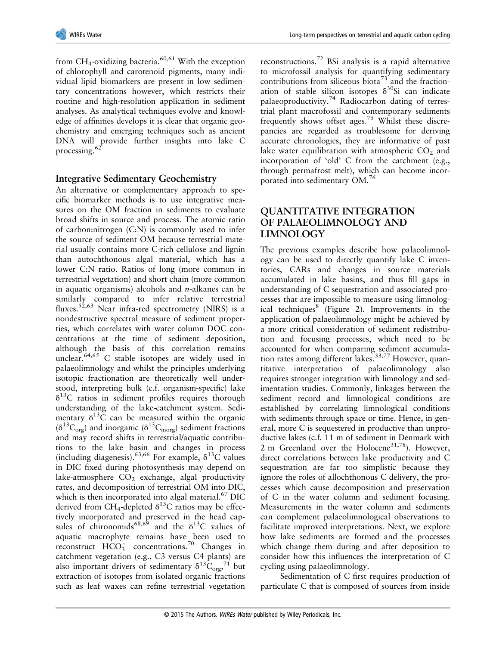from CH<sub>4</sub>-oxidizing bacteria.<sup>60,61</sup> With the exception of chlorophyll and carotenoid pigments, many individual lipid biomarkers are present in low sedimentary concentrations however, which restricts their routine and high-resolution application in sediment analyses. As analytical techniques evolve and knowledge of affinities develops it is clear that organic geochemistry and emerging techniques such as ancient DNA will provide further insights into lake C processing.<sup>62</sup>

### **Integrative Sedimentary Geochemistry**

An alternative or complementary approach to specific biomarker methods is to use integrative measures on the OM fraction in sediments to evaluate broad shifts in source and process. The atomic ratio of carbon:nitrogen (C:N) is commonly used to infer the source of sediment OM because terrestrial material usually contains more C-rich cellulose and lignin than autochthonous algal material, which has a lower C:N ratio. Ratios of long (more common in terrestrial vegetation) and short chain (more common in aquatic organisms) alcohols and *n*-alkanes can be similarly compared to infer relative terrestrial fluxes.<sup>52,63</sup> Near infra-red spectrometry (NIRS) is a nondestructive spectral measure of sediment properties, which correlates with water column DOC concentrations at the time of sediment deposition, although the basis of this correlation remains unclear.<sup>64,65</sup> C stable isotopes are widely used in palaeolimnology and whilst the principles underlying isotopic fractionation are theoretically well understood, interpreting bulk (c.f. organism-specific) lake  $\delta^{13}$ C ratios in sediment profiles requires thorough understanding of the lake-catchment system. Sedimentary  $\delta^{13}$ C can be measured within the organic  $(\delta^{13}C_{org})$  and inorganic  $(\delta^{13}C_{inorg})$  sediment fractions and may record shifts in terrestrial/aquatic contributions to the lake basin and changes in process (including diagenesis).<sup>63,66</sup> For example,  $\delta^{13}$ C values in DIC fixed during photosynthesis may depend on lake-atmosphere  $CO<sub>2</sub>$  exchange, algal productivity rates, and decomposition of terrestrial OM into DIC, which is then incorporated into algal material. $^{67}$  DIC derived from CH<sub>4</sub>-depleted  $\delta^{13}$ C ratios may be effectively incorporated and preserved in the head capsules of chironomids<sup>68,69</sup> and the  $\delta^{13}$ C values of aquatic macrophyte remains have been used to reconstruct  $\widehat{HCO_3^-}$  concentrations.<sup>70</sup> Changes in catchment vegetation (e.g., C3 versus C4 plants) are also important drivers of sedimentary  $\delta^{13} \text{C}_{\text{org}}^{\quad 71}$  but extraction of isotopes from isolated organic fractions such as leaf waxes can refine terrestrial vegetation

reconstructions.<sup>72</sup> BSi analysis is a rapid alternative to microfossil analysis for quantifying sedimentary contributions from siliceous biota<sup>73</sup> and the fractionation of stable silicon isotopes  $\delta^{30}$ Si can indicate palaeoproductivity.<sup>74</sup> Radiocarbon dating of terrestrial plant macrofossil and contemporary sediments frequently shows offset ages.<sup>75</sup> Whilst these discrepancies are regarded as troublesome for deriving accurate chronologies, they are informative of past lake water equilibration with atmospheric  $CO<sub>2</sub>$  and incorporation of 'old' C from the catchment (e.g., through permafrost melt), which can become incorporated into sedimentary OM.<sup>76</sup>

# **QUANTITATIVE INTEGRATION OF PALAEOLIMNOLOGY AND LIMNOLOGY**

The previous examples describe how palaeolimnology can be used to directly quantify lake C inventories, CARs and changes in source materials accumulated in lake basins, and thus fill gaps in understanding of C sequestration and associated processes that are impossible to measure using limnological techniques $8$  (Figure 2). Improvements in the application of palaeolimnology might be achieved by a more critical consideration of sediment redistribution and focusing processes, which need to be accounted for when comparing sediment accumulation rates among different lakes.<sup>33,77</sup> However, quantitative interpretation of palaeolimnology also requires stronger integration with limnology and sedimentation studies. Commonly, linkages between the sediment record and limnological conditions are established by correlating limnological conditions with sediments through space or time. Hence, in general, more C is sequestered in productive than unproductive lakes (c.f. 11 m of sediment in Denmark with 2 m Greenland over the Holocene<sup>31,78</sup>). However, direct correlations between lake productivity and C sequestration are far too simplistic because they ignore the roles of allochthonous C delivery, the processes which cause decomposition and preservation of C in the water column and sediment focusing. Measurements in the water column and sediments can complement palaeolimnological observations to facilitate improved interpretations. Next, we explore how lake sediments are formed and the processes which change them during and after deposition to consider how this influences the interpretation of C cycling using palaeolimnology.

Sedimentation of C first requires production of particulate C that is composed of sources from inside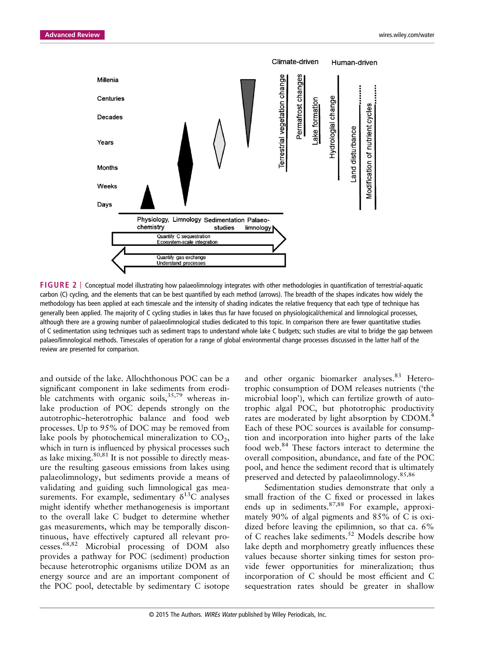

**FIGURE 2** | Conceptual model illustrating how palaeolimnology integrates with other methodologies in quantification of terrestrial-aquatic carbon (C) cycling, and the elements that can be best quantified by each method (arrows). The breadth of the shapes indicates how widely the methodology has been applied at each timescale and the intensity of shading indicates the relative frequency that each type of technique has generally been applied. The majority of C cycling studies in lakes thus far have focused on physiological/chemical and limnological processes, although there are a growing number of palaeolimnological studies dedicated to this topic. In comparison there are fewer quantitative studies of C sedimentation using techniques such as sediment traps to understand whole lake C budgets; such studies are vital to bridge the gap between palaeo/limnological methods. Timescales of operation for a range of global environmental change processes discussed in the latter half of the review are presented for comparison.

and outside of the lake. Allochthonous POC can be a significant component in lake sediments from erodible catchments with organic soils,  $35,79$  whereas inlake production of POC depends strongly on the autotrophic–heterotrophic balance and food web processes. Up to 95% of DOC may be removed from lake pools by photochemical mineralization to  $CO<sub>2</sub>$ , which in turn is influenced by physical processes such as lake mixing.<sup>80,81</sup> It is not possible to directly measure the resulting gaseous emissions from lakes using palaeolimnology, but sediments provide a means of validating and guiding such limnological gas measurements. For example, sedimentary  $\delta^{13}$ C analyses might identify whether methanogenesis is important to the overall lake C budget to determine whether gas measurements, which may be temporally discontinuous, have effectively captured all relevant processes.68,82 Microbial processing of DOM also provides a pathway for POC (sediment) production because heterotrophic organisms utilize DOM as an energy source and are an important component of the POC pool, detectable by sedimentary C isotope

and other organic biomarker analyses.<sup>83</sup> Heterotrophic consumption of DOM releases nutrients ('the microbial loop'), which can fertilize growth of autotrophic algal POC, but phototrophic productivity rates are moderated by light absorption by CDOM.<sup>4</sup> Each of these POC sources is available for consumption and incorporation into higher parts of the lake food web.<sup>84</sup> These factors interact to determine the overall composition, abundance, and fate of the POC pool, and hence the sediment record that is ultimately preserved and detected by palaeolimnology.<sup>85,86</sup>

Sedimentation studies demonstrate that only a small fraction of the C fixed or processed in lakes ends up in sediments.<sup>87,88</sup> For example, approximately 90% of algal pigments and 85% of C is oxidized before leaving the epilimnion, so that ca. 6% of C reaches lake sediments.<sup>52</sup> Models describe how lake depth and morphometry greatly influences these values because shorter sinking times for seston provide fewer opportunities for mineralization; thus incorporation of C should be most efficient and C sequestration rates should be greater in shallow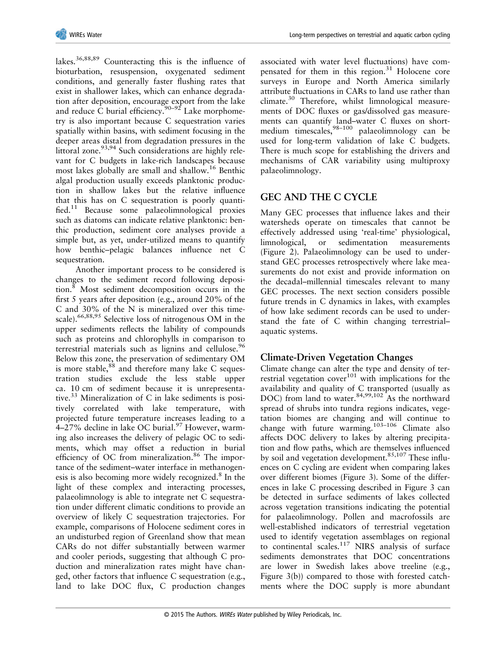lakes.36,88,89 Counteracting this is the influence of bioturbation, resuspension, oxygenated sediment conditions, and generally faster flushing rates that exist in shallower lakes, which can enhance degradation after deposition, encourage export from the lake and reduce  $\tilde{C}$  burial efficiency.<sup>90–92</sup> Lake morphometry is also important because C sequestration varies spatially within basins, with sediment focusing in the deeper areas distal from degradation pressures in the littoral zone.<sup>93,94</sup> Such considerations are highly relevant for C budgets in lake-rich landscapes because most lakes globally are small and shallow.<sup>16</sup> Benthic algal production usually exceeds planktonic production in shallow lakes but the relative influence that this has on C sequestration is poorly quantified.<sup>11</sup> Because some palaeolimnological proxies such as diatoms can indicate relative planktonic: benthic production, sediment core analyses provide a simple but, as yet, under-utilized means to quantify how benthic–pelagic balances influence net C sequestration.

Another important process to be considered is changes to the sediment record following deposition.<sup>8</sup> Most sediment decomposition occurs in the first 5 years after deposition (e.g., around 20% of the C and 30% of the N is mineralized over this timescale).<sup>66,88,95</sup> Selective loss of nitrogenous OM in the upper sediments reflects the lability of compounds such as proteins and chlorophylls in comparison to terrestrial materials such as lignins and cellulose.<sup>96</sup> Below this zone, the preservation of sedimentary OM is more stable,  $88$  and therefore many lake C sequestration studies exclude the less stable upper ca. 10 cm of sediment because it is unrepresentative. $33$  Mineralization of C in lake sediments is positively correlated with lake temperature, with projected future temperature increases leading to a 4–27% decline in lake OC burial. $\frac{97}{7}$  However, warming also increases the delivery of pelagic OC to sediments, which may offset a reduction in burial efficiency of OC from mineralization.<sup>86</sup> The importance of the sediment–water interface in methanogenesis is also becoming more widely recognized.<sup>8</sup> In the light of these complex and interacting processes, palaeolimnology is able to integrate net C sequestration under different climatic conditions to provide an overview of likely C sequestration trajectories. For example, comparisons of Holocene sediment cores in an undisturbed region of Greenland show that mean CARs do not differ substantially between warmer and cooler periods, suggesting that although C production and mineralization rates might have changed, other factors that influence C sequestration (e.g., land to lake DOC flux, C production changes

associated with water level fluctuations) have compensated for them in this region. $31$  Holocene core surveys in Europe and North America similarly attribute fluctuations in CARs to land use rather than climate.<sup>30</sup> Therefore, whilst limnological measurements of DOC fluxes or gas/dissolved gas measurements can quantify land–water C fluxes on shortmedium timescales,  $98-100$  palaeolimnology can be used for long-term validation of lake C budgets. There is much scope for establishing the drivers and mechanisms of CAR variability using multiproxy palaeolimnology.

# **GEC AND THE C CYCLE**

Many GEC processes that influence lakes and their watersheds operate on timescales that cannot be effectively addressed using 'real-time' physiological, limnological, or sedimentation measurements (Figure 2). Palaeolimnology can be used to understand GEC processes retrospectively where lake measurements do not exist and provide information on the decadal–millennial timescales relevant to many GEC processes. The next section considers possible future trends in C dynamics in lakes, with examples of how lake sediment records can be used to understand the fate of C within changing terrestrial– aquatic systems.

# **Climate-Driven Vegetation Changes**

Climate change can alter the type and density of terrestrial vegetation  $cover^{101}$  with implications for the availability and quality of C transported (usually as DOC) from land to water.<sup>84,99,102</sup> As the northward spread of shrubs into tundra regions indicates, vegetation biomes are changing and will continue to change with future warming.103–<sup>106</sup> Climate also affects DOC delivery to lakes by altering precipitation and flow paths, which are themselves influenced by soil and vegetation development. $85,107$  These influences on C cycling are evident when comparing lakes over different biomes (Figure 3). Some of the differences in lake C processing described in Figure 3 can be detected in surface sediments of lakes collected across vegetation transitions indicating the potential for palaeolimnology. Pollen and macrofossils are well-established indicators of terrestrial vegetation used to identify vegetation assemblages on regional to continental scales.<sup>117</sup> NIRS analysis of surface sediments demonstrates that DOC concentrations are lower in Swedish lakes above treeline (e.g., Figure 3(b)) compared to those with forested catchments where the DOC supply is more abundant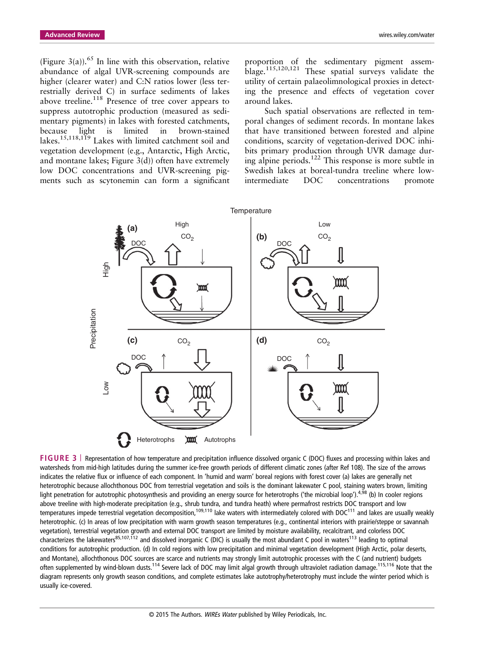(Figure 3(a)).<sup>65</sup> In line with this observation, relative abundance of algal UVR-screening compounds are higher (clearer water) and C:N ratios lower (less terrestrially derived C) in surface sediments of lakes above treeline.<sup>118</sup> Presence of tree cover appears to suppress autotrophic production (measured as sedimentary pigments) in lakes with forested catchments, because light is limited in brown-stained lakes.<sup>15,118,119</sup> Lakes with limited catchment soil and vegetation development (e.g., Antarctic, High Arctic, and montane lakes; Figure  $3(d)$ ) often have extremely low DOC concentrations and UVR-screening pigments such as scytonemin can form a significant proportion of the sedimentary pigment assemblage.115,120,121 These spatial surveys validate the utility of certain palaeolimnological proxies in detecting the presence and effects of vegetation cover around lakes.

Such spatial observations are reflected in temporal changes of sediment records. In montane lakes that have transitioned between forested and alpine conditions, scarcity of vegetation-derived DOC inhibits primary production through UVR damage during alpine periods.<sup>122</sup> This response is more subtle in Swedish lakes at boreal-tundra treeline where lowintermediate DOC concentrations promote



**FIGURE 3** | Representation of how temperature and precipitation influence dissolved organic C (DOC) fluxes and processing within lakes and watersheds from mid-high latitudes during the summer ice-free growth periods of different climatic zones (after Ref 108). The size of the arrows indicates the relative flux or influence of each component. In 'humid and warm' boreal regions with forest cover (a) lakes are generally net heterotrophic because allochthonous DOC from terrestrial vegetation and soils is the dominant lakewater C pool, staining waters brown, limiting light penetration for autotrophic photosynthesis and providing an energy source for heterotrophs ('the microbial loop').<sup>4,98</sup> (b) In cooler regions above treeline with high-moderate precipitation (e.g., shrub tundra, and tundra heath) where permafrost restricts DOC transport and low temperatures impede terrestrial vegetation decomposition,<sup>109,110</sup> lake waters with intermediately colored with DOC<sup>111</sup> and lakes are usually weakly heterotrophic. (c) In areas of low precipitation with warm growth season temperatures (e.g., continental interiors with prairie/steppe or savannah vegetation), terrestrial vegetation growth and external DOC transport are limited by moisture availability, recalcitrant, and colorless DOC characterizes the lakewaters<sup>85,107,112</sup> and dissolved inorganic C (DIC) is usually the most abundant C pool in waters<sup>113</sup> leading to optimal conditions for autotrophic production. (d) In cold regions with low precipitation and minimal vegetation development (High Arctic, polar deserts, and Montane), allochthonous DOC sources are scarce and nutrients may strongly limit autotrophic processes with the C (and nutrient) budgets often supplemented by wind-blown dusts.<sup>114</sup> Severe lack of DOC may limit algal growth through ultraviolet radiation damage.<sup>115,116</sup> Note that the diagram represents only growth season conditions, and complete estimates lake autotrophy/heterotrophy must include the winter period which is usually ice-covered.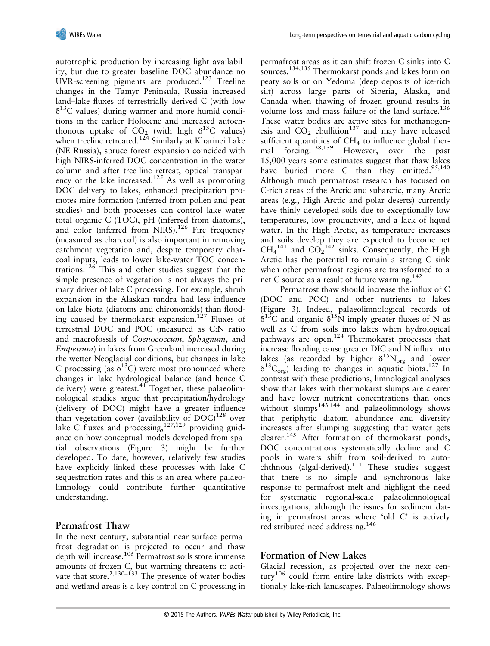autotrophic production by increasing light availability, but due to greater baseline DOC abundance no UVR-screening pigments are produced.<sup>123</sup> Treeline changes in the Tamyr Peninsula, Russia increased land–lake fluxes of terrestrially derived C (with low  $\delta^{13}$ C values) during warmer and more humid conditions in the earlier Holocene and increased autochthonous uptake of  $CO<sub>2</sub>$  (with high  $\delta^{13}C$  values) when treeline retreated.<sup>124</sup> Similarly at Kharinei Lake (NE Russia), spruce forest expansion coincided with high NIRS-inferred DOC concentration in the water column and after tree-line retreat, optical transparency of the lake increased.<sup>125</sup> As well as promoting DOC delivery to lakes, enhanced precipitation promotes mire formation (inferred from pollen and peat studies) and both processes can control lake water total organic C (TOC), pH (inferred from diatoms), and color (inferred from NIRS).<sup>126</sup> Fire frequency (measured as charcoal) is also important in removing catchment vegetation and, despite temporary charcoal inputs, leads to lower lake-water TOC concentrations.<sup>126</sup> This and other studies suggest that the simple presence of vegetation is not always the primary driver of lake C processing. For example, shrub expansion in the Alaskan tundra had less influence on lake biota (diatoms and chironomids) than flooding caused by thermokarst expansion.<sup>127</sup> Fluxes of terrestrial DOC and POC (measured as C:N ratio and macrofossils of *Coenococcum*, *Sphagnum*, and *Empetrum*) in lakes from Greenland increased during the wetter Neoglacial conditions, but changes in lake C processing (as  $\delta^{13}$ C) were most pronounced where changes in lake hydrological balance (and hence C delivery) were greatest.<sup>41</sup> Together, these palaeolimnological studies argue that precipitation/hydrology (delivery of DOC) might have a greater influence than vegetation cover (availability of  $DOC$ )<sup>128</sup> over lake C fluxes and processing,  $127,129$  providing guidance on how conceptual models developed from spatial observations (Figure 3) might be further developed. To date, however, relatively few studies have explicitly linked these processes with lake C sequestration rates and this is an area where palaeolimnology could contribute further quantitative understanding.

# **Permafrost Thaw**

In the next century, substantial near-surface permafrost degradation is projected to occur and thaw depth will increase.<sup>106</sup> Permafrost soils store immense amounts of frozen C, but warming threatens to activate that store.<sup>2,130–133</sup> The presence of water bodies and wetland areas is a key control on C processing in

permafrost areas as it can shift frozen C sinks into C sources.134,135 Thermokarst ponds and lakes form on peaty soils or on Yedoma (deep deposits of ice-rich silt) across large parts of Siberia, Alaska, and Canada when thawing of frozen ground results in volume loss and mass failure of the land surface.<sup>136</sup> These water bodies are active sites for methanogenesis and  $CO<sub>2</sub>$  ebullition<sup>137</sup> and may have released sufficient quantities of  $CH<sub>4</sub>$  to influence global thermal forcing.138,139 However, over the past 15,000 years some estimates suggest that thaw lakes have buried more C than they emitted. $95,140$ Although much permafrost research has focused on C-rich areas of the Arctic and subarctic, many Arctic areas (e.g., High Arctic and polar deserts) currently have thinly developed soils due to exceptionally low temperatures, low productivity, and a lack of liquid water. In the High Arctic, as temperature increases and soils develop they are expected to become net  $CH_4^{141}$  and  $CO_2^{142}$  sinks. Consequently, the High Arctic has the potential to remain a strong C sink when other permafrost regions are transformed to a net C source as a result of future warming.<sup>142</sup>

Permafrost thaw should increase the influx of C (DOC and POC) and other nutrients to lakes (Figure 3). Indeed, palaeolimnological records of  $\delta^{13}$ C and organic  $\delta^{15}$ N imply greater fluxes of N as well as C from soils into lakes when hydrological pathways are open. $124$  Thermokarst processes that increase flooding cause greater DIC and N influx into lakes (as recorded by higher  $\delta^{15}N_{org}$  and lower  $\delta^{13}C_{\text{org}}$ ) leading to changes in aquatic biota.<sup>127</sup> In contrast with these predictions, limnological analyses show that lakes with thermokarst slumps are clearer and have lower nutrient concentrations than ones without slumps<sup>143,144</sup> and palaeolimnology shows that periphytic diatom abundance and diversity increases after slumping suggesting that water gets clearer.<sup>145</sup> After formation of thermokarst ponds, DOC concentrations systematically decline and C pools in waters shift from soil-derived to autochthnous (algal-derived).<sup>111</sup> These studies suggest that there is no simple and synchronous lake response to permafrost melt and highlight the need for systematic regional-scale palaeolimnological investigations, although the issues for sediment dating in permafrost areas where 'old C' is actively redistributed need addressing.<sup>146</sup>

# **Formation of New Lakes**

Glacial recession, as projected over the next century<sup>106</sup> could form entire lake districts with exceptionally lake-rich landscapes. Palaeolimnology shows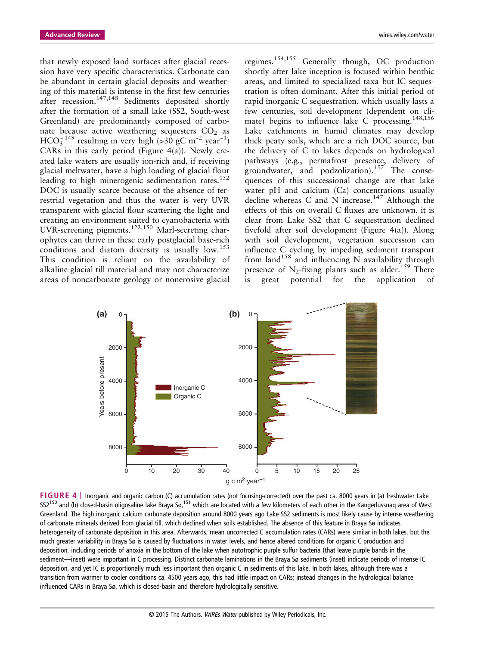that newly exposed land surfaces after glacial recession have very specific characteristics. Carbonate can be abundant in certain glacial deposits and weathering of this material is intense in the first few centuries after recession.<sup>147,148</sup> Sediments deposited shortly after the formation of a small lake (SS2, South-west Greenland) are predominantly composed of carbonate because active weathering sequesters  $CO<sub>2</sub>$  as  $HCO<sub>3</sub><sup>-149</sup>$  resulting in very high (>30 gC m<sup>-2</sup> year<sup>-1</sup>) CARs in this early period (Figure 4(a)). Newly created lake waters are usually ion-rich and, if receiving glacial meltwater, have a high loading of glacial flour leading to high minerogenic sedimentation rates.<sup>152</sup> DOC is usually scarce because of the absence of terrestrial vegetation and thus the water is very UVR transparent with glacial flour scattering the light and creating an environment suited to cyanobacteria with UVR-screening pigments.122,150 Marl-secreting charophytes can thrive in these early postglacial base-rich conditions and diatom diversity is usually  $\text{low.}^{153}$ This condition is reliant on the availability of alkaline glacial till material and may not characterize areas of noncarbonate geology or nonerosive glacial

regimes.154,155 Generally though, OC production shortly after lake inception is focused within benthic areas, and limited to specialized taxa but IC sequestration is often dominant. After this initial period of rapid inorganic C sequestration, which usually lasts a few centuries, soil development (dependent on climate) begins to influence lake C processing.<sup>148,156</sup> Lake catchments in humid climates may develop thick peaty soils, which are a rich DOC source, but the delivery of C to lakes depends on hydrological pathways (e.g., permafrost presence, delivery of groundwater, and podzolization).<sup>157</sup> The consequences of this successional change are that lake water pH and calcium (Ca) concentrations usually decline whereas C and N increase.<sup>147</sup> Although the effects of this on overall C fluxes are unknown, it is clear from Lake SS2 that C sequestration declined fivefold after soil development (Figure 4(a)). Along with soil development, vegetation succession can influence C cycling by impeding sediment transport from land<sup>158</sup> and influencing N availability through presence of  $N_2$ -fixing plants such as alder.<sup>159</sup> There is great potential for the application of



**FIGURE 4** | Inorganic and organic carbon (C) accumulation rates (not focusing-corrected) over the past ca. 8000 years in (a) freshwater Lake SS2<sup>150</sup> and (b) closed-basin oligosaline lake Braya Sø,<sup>151</sup> which are located with a few kilometers of each other in the Kangerlussuaq area of West Greenland. The high inorganic calcium carbonate deposition around 8000 years ago Lake SS2 sediments is most likely cause by intense weathering of carbonate minerals derived from glacial till, which declined when soils established. The absence of this feature in Braya Sø indicates heterogeneity of carbonate deposition in this area. Afterwards, mean uncorrected C accumulation rates (CARs) were similar in both lakes, but the much greater variability in Braya Sø is caused by fluctuations in water levels, and hence altered conditions for organic C production and deposition, including periods of anoxia in the bottom of the lake when autotrophic purple sulfur bacteria (that leave purple bands in the sediment—inset) were important in C processing. Distinct carbonate laminations in the Braya Sø sediments (inset) indicate periods of intense IC deposition, and yet IC is proportionally much less important than organic C in sediments of this lake. In both lakes, although there was a transition from warmer to cooler conditions ca. 4500 years ago, this had little impact on CARs; instead changes in the hydrological balance influenced CARs in Braya Sø, which is closed-basin and therefore hydrologically sensitive.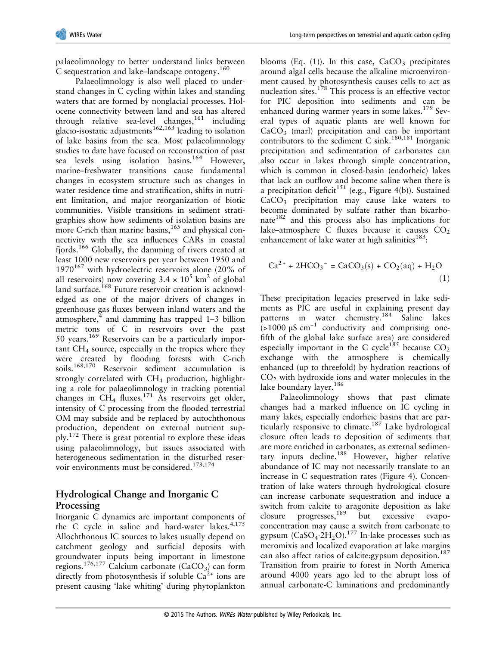palaeolimnology to better understand links between C sequestration and lake–landscape ontogeny.<sup>160</sup>

Palaeolimnology is also well placed to understand changes in C cycling within lakes and standing waters that are formed by nonglacial processes. Holocene connectivity between land and sea has altered through relative sea-level changes,  $161$  including glacio-isostatic adjustments<sup>162,163</sup> leading to isolation of lake basins from the sea. Most palaeolimnology studies to date have focused on reconstruction of past sea levels using isolation basins.<sup>164</sup> However, marine–freshwater transitions cause fundamental changes in ecosystem structure such as changes in water residence time and stratification, shifts in nutrient limitation, and major reorganization of biotic communities. Visible transitions in sediment stratigraphies show how sediments of isolation basins are more C-rich than marine basins, $165$  and physical connectivity with the sea influences CARs in coastal fiords.<sup>166</sup> Globally, the damming of rivers created at least 1000 new reservoirs per year between 1950 and  $1970^{167}$  with hydroelectric reservoirs alone (20% of all reservoirs) now covering  $3.4 \times 10^5$  km<sup>2</sup> of global land surface.<sup>168</sup> Future reservoir creation is acknowledged as one of the major drivers of changes in greenhouse gas fluxes between inland waters and the atmosphere, $4$  and damming has trapped 1–3 billion metric tons of C in reservoirs over the past 50 years. $169$  Reservoirs can be a particularly impor $t$ ant CH<sub>4</sub> source, especially in the tropics where they were created by flooding forests with C-rich soils.168,170 Reservoir sediment accumulation is strongly correlated with CH<sub>4</sub> production, highlighting a role for palaeolimnology in tracking potential changes in  $CH_4$  fluxes.<sup>171</sup> As reservoirs get older, intensity of C processing from the flooded terrestrial OM may subside and be replaced by autochthonous production, dependent on external nutrient supply.<sup>172</sup> There is great potential to explore these ideas using palaeolimnology, but issues associated with heterogeneous sedimentation in the disturbed reservoir environments must be considered.<sup>173,174</sup>

# **Hydrological Change and Inorganic C Processing**

Inorganic C dynamics are important components of the C cycle in saline and hard-water lakes. $4,175$ Allochthonous IC sources to lakes usually depend on catchment geology and surficial deposits with groundwater inputs being important in limestone regions.<sup>176,177</sup> Calcium carbonate (CaCO<sub>3</sub>) can form directly from photosynthesis if soluble  $Ca<sup>2+</sup>$  ions are present causing 'lake whiting' during phytoplankton

blooms (Eq.  $(1)$ ). In this case, CaCO<sub>3</sub> precipitates around algal cells because the alkaline microenvironment caused by photosynthesis causes cells to act as nucleation sites.<sup>178</sup> This process is an effective vector for PIC deposition into sediments and can be enhanced during warmer years in some lakes.<sup>179</sup> Several types of aquatic plants are well known for  $CaCO<sub>3</sub>$  (marl) precipitation and can be important contributors to the sediment C sink.<sup>180,181</sup> Inorganic precipitation and sedimentation of carbonates can also occur in lakes through simple concentration, which is common in closed-basin (endorheic) lakes that lack an outflow and become saline when there is a precipitation deficit<sup>151</sup> (e.g., Figure 4(b)). Sustained  $CaCO<sub>3</sub>$  precipitation may cause lake waters to become dominated by sulfate rather than bicarbonate<sup>182</sup> and this process also has implications for lake–atmosphere C fluxes because it causes  $CO<sub>2</sub>$ enhancement of lake water at high salinities $183$ :

$$
Ca2+ + 2HCO3- = CaCO3(s) + CO2(aq) + H2O
$$
\n(1)

These precipitation legacies preserved in lake sediments as PIC are useful in explaining present day patterns in water chemistry.<sup>184</sup> Saline lakes  $\approx$  (>1000  $\mu$ S cm<sup>-1</sup> conductivity and comprising onefifth of the global lake surface area) are considered especially important in the C cycle<sup>185</sup> because  $CO<sub>2</sub>$ exchange with the atmosphere is chemically enhanced (up to threefold) by hydration reactions of  $CO<sub>2</sub>$  with hydroxide ions and water molecules in the lake boundary layer.<sup>186</sup>

Palaeolimnology shows that past climate changes had a marked influence on IC cycling in many lakes, especially endorheic basins that are particularly responsive to climate.<sup>187</sup> Lake hydrological closure often leads to deposition of sediments that are more enriched in carbonates, as external sedimentary inputs decline.<sup>188</sup> However, higher relative abundance of IC may not necessarily translate to an increase in C sequestration rates (Figure 4). Concentration of lake waters through hydrological closure can increase carbonate sequestration and induce a switch from calcite to aragonite deposition as lake closure progresses,<sup>189</sup> but excessive evapoconcentration may cause a switch from carbonate to gypsum  $(CaSO_4.2H_2O).^{177}$  In-lake processes such as meromixis and localized evaporation at lake margins can also affect ratios of calcite:gypsum deposition.<sup>187</sup> Transition from prairie to forest in North America around 4000 years ago led to the abrupt loss of annual carbonate-C laminations and predominantly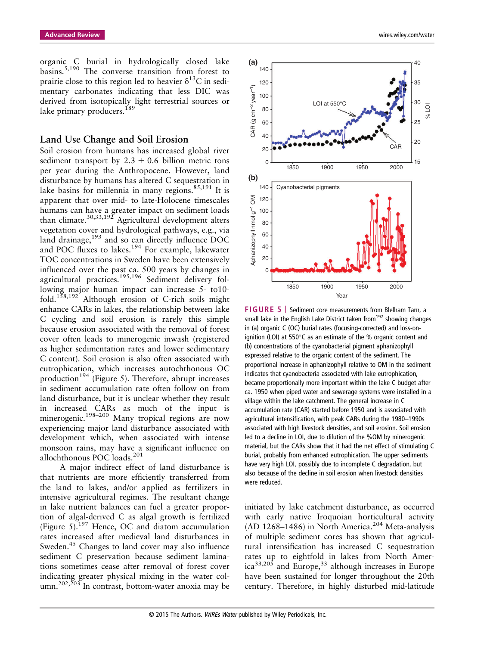organic C burial in hydrologically closed lake basins.5,190 The converse transition from forest to prairie close to this region led to heavier  $\delta^{13}$ C in sedimentary carbonates indicating that less DIC was derived from isotopically light terrestrial sources or lake primary producers.<sup>189</sup>

#### **Land Use Change and Soil Erosion**

Soil erosion from humans has increased global river sediment transport by  $2.3 \pm 0.6$  billion metric tons per year during the Anthropocene. However, land disturbance by humans has altered C sequestration in lake basins for millennia in many regions. $85,191$  It is apparent that over mid- to late-Holocene timescales humans can have a greater impact on sediment loads than climate. $^{30,33,192}$  Agricultural development alters vegetation cover and hydrological pathways, e.g., via land drainage, $193$  and so can directly influence DOC and POC fluxes to lakes.<sup>194</sup> For example, lakewater TOC concentrations in Sweden have been extensively influenced over the past ca. 500 years by changes in agricultural practices.195,196 Sediment delivery following major human impact can increase 5- to10 fold.158,192 Although erosion of C-rich soils might enhance CARs in lakes, the relationship between lake C cycling and soil erosion is rarely this simple because erosion associated with the removal of forest cover often leads to minerogenic inwash (registered as higher sedimentation rates and lower sedimentary C content). Soil erosion is also often associated with eutrophication, which increases autochthonous OC production<sup>194</sup> (Figure 5). Therefore, abrupt increases in sediment accumulation rate often follow on from land disturbance, but it is unclear whether they result in increased CARs as much of the input is minerogenic.<sup>198–200</sup> Many tropical regions are now experiencing major land disturbance associated with development which, when associated with intense monsoon rains, may have a significant influence on allochthonous POC loads.<sup>201</sup>

A major indirect effect of land disturbance is that nutrients are more efficiently transferred from the land to lakes, and/or applied as fertilizers in intensive agricultural regimes. The resultant change in lake nutrient balances can fuel a greater proportion of algal-derived C as algal growth is fertilized (Figure 5).<sup>197</sup> Hence, OC and diatom accumulation rates increased after medieval land disturbances in Sweden.<sup>45</sup> Changes to land cover may also influence sediment C preservation because sediment laminations sometimes cease after removal of forest cover indicating greater physical mixing in the water column. $202,203$  In contrast, bottom-water anoxia may be



**FIGURE 5** | Sediment core measurements from Blelham Tarn, a small lake in the English Lake District taken from<sup>197</sup> showing changes in (a) organic C (OC) burial rates (focusing-corrected) and loss-onignition (LOI) at 550°C as an estimate of the % organic content and (b) concentrations of the cyanobacterial pigment aphanizophyll expressed relative to the organic content of the sediment. The proportional increase in aphanizophyll relative to OM in the sediment indicates that cyanobacteria associated with lake eutrophication, became proportionally more important within the lake C budget after ca. 1950 when piped water and sewerage systems were installed in a village within the lake catchment. The general increase in C accumulation rate (CAR) started before 1950 and is associated with agricultural intensification, with peak CARs during the 1980–1990s associated with high livestock densities, and soil erosion. Soil erosion led to a decline in LOI, due to dilution of the %OM by minerogenic material, but the CARs show that it had the net effect of stimulating C burial, probably from enhanced eutrophication. The upper sediments have very high LOI, possibly due to incomplete C degradation, but also because of the decline in soil erosion when livestock densities were reduced.

initiated by lake catchment disturbance, as occurred with early native Iroquoian horticultural activity (AD 1268–1486) in North America.<sup>204</sup> Meta-analysis of multiple sediment cores has shown that agricultural intensification has increased C sequestration rates up to eightfold in lakes from North Amer $ica^{33,205}$  and Europe,<sup>33</sup> although increases in Europe have been sustained for longer throughout the 20th century. Therefore, in highly disturbed mid-latitude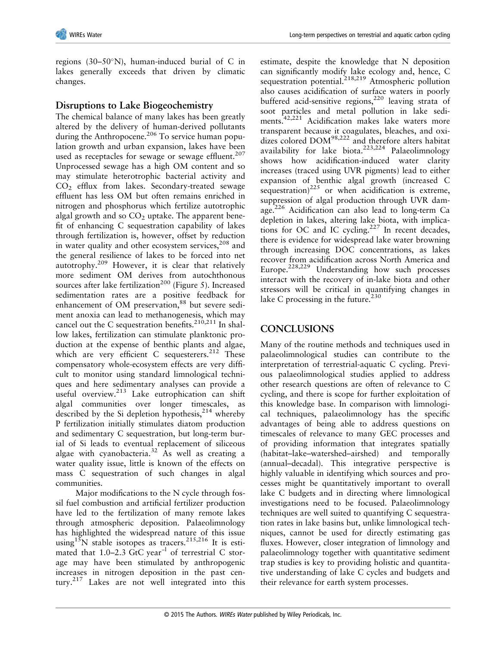regions (30–50°N), human-induced burial of C in lakes generally exceeds that driven by climatic changes.

# **Disruptions to Lake Biogeochemistry**

The chemical balance of many lakes has been greatly altered by the delivery of human-derived pollutants during the Anthropocene.<sup>206</sup> To service human population growth and urban expansion, lakes have been used as receptacles for sewage or sewage effluent.<sup>207</sup> Unprocessed sewage has a high OM content and so may stimulate heterotrophic bacterial activity and CO2 efflux from lakes. Secondary-treated sewage effluent has less OM but often remains enriched in nitrogen and phosphorus which fertilize autotrophic algal growth and so  $CO<sub>2</sub>$  uptake. The apparent benefit of enhancing C sequestration capability of lakes through fertilization is, however, offset by reduction in water quality and other ecosystem services, $208$  and the general resilience of lakes to be forced into net autotrophy.<sup>209</sup> However, it is clear that relatively more sediment OM derives from autochthonous sources after lake fertilization<sup>200</sup> (Figure 5). Increased sedimentation rates are a positive feedback for enhancement of OM preservation,<sup>88</sup> but severe sediment anoxia can lead to methanogenesis, which may cancel out the C sequestration benefits.<sup>210,211</sup> In shallow lakes, fertilization can stimulate planktonic production at the expense of benthic plants and algae, which are very efficient C sequesterers.<sup>212</sup> These compensatory whole-ecosystem effects are very difficult to monitor using standard limnological techniques and here sedimentary analyses can provide a useful overview.<sup>213</sup> Lake eutrophication can shift algal communities over longer timescales, as described by the Si depletion hypothesis, $2^{14}$  whereby P fertilization initially stimulates diatom production and sedimentary C sequestration, but long-term burial of Si leads to eventual replacement of siliceous algae with cyanobacteria.<sup>32</sup> As well as creating a water quality issue, little is known of the effects on mass C sequestration of such changes in algal communities.

Major modifications to the N cycle through fossil fuel combustion and artificial fertilizer production have led to the fertilization of many remote lakes through atmospheric deposition. Palaeolimnology has highlighted the widespread nature of this issue using<sup>15</sup>N stable isotopes as tracers.<sup>215,216</sup> It is estimated that 1.0–2.3 GtC year<sup>-1</sup> of terrestrial C storage may have been stimulated by anthropogenic increases in nitrogen deposition in the past century.<sup>217</sup> Lakes are not well integrated into this

estimate, despite the knowledge that N deposition can significantly modify lake ecology and, hence, C sequestration potential.<sup>218,219</sup> Atmospheric pollution also causes acidification of surface waters in poorly buffered acid-sensitive regions,  $220$  leaving strata of soot particles and metal pollution in lake sediments.<sup>42,221</sup> Acidification makes lake waters more transparent because it coagulates, bleaches, and oxidizes colored DOM98,222 and therefore alters habitat availability for lake biota. $223,224$  Palaeolimnology shows how acidification-induced water clarity increases (traced using UVR pigments) lead to either expansion of benthic algal growth (increased C sequestration) $^{225}$  or when acidification is extreme, suppression of algal production through UVR damage.<sup>226</sup> Acidification can also lead to long-term Ca depletion in lakes, altering lake biota, with implications for OC and IC cycling.<sup>227</sup> In recent decades, there is evidence for widespread lake water browning through increasing DOC concentrations, as lakes recover from acidification across North America and Europe.<sup>228,229</sup> Understanding how such processes interact with the recovery of in-lake biota and other stressors will be critical in quantifying changes in lake C processing in the future. $^{230}$ 

# **CONCLUSIONS**

Many of the routine methods and techniques used in palaeolimnological studies can contribute to the interpretation of terrestrial-aquatic C cycling. Previous palaeolimnological studies applied to address other research questions are often of relevance to C cycling, and there is scope for further exploitation of this knowledge base. In comparison with limnological techniques, palaeolimnology has the specific advantages of being able to address questions on timescales of relevance to many GEC processes and of providing information that integrates spatially (habitat–lake–watershed–airshed) and temporally (annual–decadal). This integrative perspective is highly valuable in identifying which sources and processes might be quantitatively important to overall lake C budgets and in directing where limnological investigations need to be focused. Palaeolimnology techniques are well suited to quantifying C sequestration rates in lake basins but, unlike limnological techniques, cannot be used for directly estimating gas fluxes. However, closer integration of limnology and palaeolimnology together with quantitative sediment trap studies is key to providing holistic and quantitative understanding of lake C cycles and budgets and their relevance for earth system processes.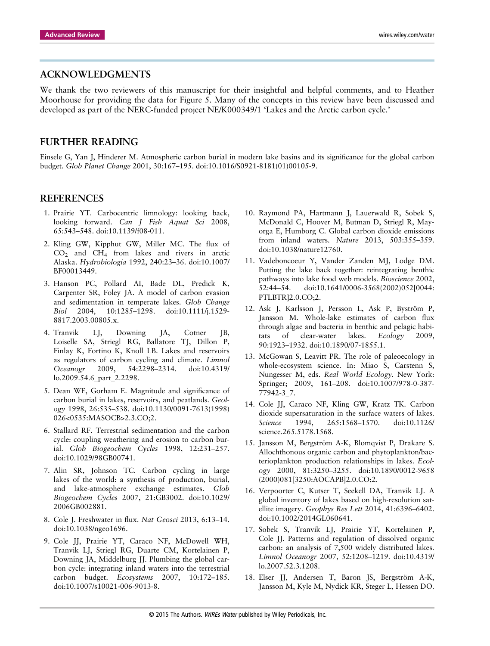### **ACKNOWLEDGMENTS**

We thank the two reviewers of this manuscript for their insightful and helpful comments, and to Heather Moorhouse for providing the data for Figure 5. Many of the concepts in this review have been discussed and developed as part of the NERC-funded project NE/K000349/1 'Lakes and the Arctic carbon cycle.'

### **FURTHER READING**

Einsele G, Yan J, Hinderer M. Atmospheric carbon burial in modern lake basins and its significance for the global carbon budget. *Glob Planet Change* 2001, 30:167–195. doi:10.1016/S0921-8181(01)00105-9.

#### **REFERENCES**

- 1. Prairie YT. Carbocentric limnology: looking back, looking forward. *Can J Fish Aquat Sci* 2008, 65:543–548. doi:10.1139/f08-011.
- 2. Kling GW, Kipphut GW, Miller MC. The flux of  $CO<sub>2</sub>$  and  $CH<sub>4</sub>$  from lakes and rivers in arctic Alaska. *Hydrobiologia* 1992, 240:23–36. doi:10.1007/ BF00013449.
- 3. Hanson PC, Pollard AI, Bade DL, Predick K, Carpenter SR, Foley JA. A model of carbon evasion and sedimentation in temperate lakes. *Glob Change Biol* 2004, 10:1285–1298. doi:10.1111/j.1529- 8817.2003.00805.x.
- 4. Tranvik LJ, Downing JA, Cotner JB, Loiselle SA, Striegl RG, Ballatore TJ, Dillon P, Finlay K, Fortino K, Knoll LB. Lakes and reservoirs as regulators of carbon cycling and climate. *Limnol Oceanogr* 2009, 54:2298–2314. doi:10.4319/ lo.2009.54.6\_part\_2.2298.
- 5. Dean WE, Gorham E. Magnitude and significance of carbon burial in lakes, reservoirs, and peatlands. *Geology* 1998, 26:535–538. doi:10.1130/0091-7613(1998) 026<0535:MASOCB>2.3.CO;2.
- 6. Stallard RF. Terrestrial sedimentation and the carbon cycle: coupling weathering and erosion to carbon burial. *Glob Biogeochem Cycles* 1998, 12:231–257. doi:10.1029/98GB00741.
- 7. Alin SR, Johnson TC. Carbon cycling in large lakes of the world: a synthesis of production, burial, and lake-atmosphere exchange estimates. *Glob Biogeochem Cycles* 2007, 21:GB3002. doi:10.1029/ 2006GB002881.
- 8. Cole J. Freshwater in flux. *Nat Geosci* 2013, 6:13–14. doi:10.1038/ngeo1696.
- 9. Cole JJ, Prairie YT, Caraco NF, McDowell WH, Tranvik LJ, Striegl RG, Duarte CM, Kortelainen P, Downing JA, Middelburg JJ. Plumbing the global carbon cycle: integrating inland waters into the terrestrial carbon budget. *Ecosystems* 2007, 10:172–185. doi:10.1007/s10021-006-9013-8.
- 10. Raymond PA, Hartmann J, Lauerwald R, Sobek S, McDonald C, Hoover M, Butman D, Striegl R, Mayorga E, Humborg C. Global carbon dioxide emissions from inland waters. *Nature* 2013, 503:355–359. doi:10.1038/nature12760.
- 11. Vadeboncoeur Y, Vander Zanden MJ, Lodge DM. Putting the lake back together: reintegrating benthic pathways into lake food web models. *Bioscience* 2002, 52:44–54. doi:10.1641/0006-3568(2002)052[0044: PTLBTR]2.0.CO;2.
- 12. Ask J, Karlsson J, Persson L, Ask P, Byström P, Jansson M. Whole-lake estimates of carbon flux through algae and bacteria in benthic and pelagic habitats of clear-water lakes. *Ecology* 2009, 90:1923–1932. doi:10.1890/07-1855.1.
- 13. McGowan S, Leavitt PR. The role of paleoecology in whole-ecosystem science. In: Miao S, Carstenn S, Nungesser M, eds. *Real World Ecology*. New York: Springer; 2009, 161–208. doi:10.1007/978-0-387- 77942-3\_7.
- 14. Cole JJ, Caraco NF, Kling GW, Kratz TK. Carbon dioxide supersaturation in the surface waters of lakes. *Science* 1994, 265:1568–1570. doi:10.1126/ science.265.5178.1568.
- 15. Jansson M, Bergström A-K, Blomqvist P, Drakare S. Allochthonous organic carbon and phytoplankton/bacterioplankton production relationships in lakes. *Ecology* 2000, 81:3250–3255. doi:10.1890/0012-9658 (2000)081[3250:AOCAPB]2.0.CO;2.
- 16. Verpoorter C, Kutser T, Seekell DA, Tranvik LJ. A global inventory of lakes based on high-resolution satellite imagery. *Geophys Res Lett* 2014, 41:6396–6402. doi:10.1002/2014GL060641.
- 17. Sobek S, Tranvik LJ, Prairie YT, Kortelainen P, Cole JJ. Patterns and regulation of dissolved organic carbon: an analysis of 7,500 widely distributed lakes. *Limnol Oceanogr* 2007, 52:1208–1219. doi:10.4319/ lo.2007.52.3.1208.
- 18. Elser JJ, Andersen T, Baron JS, Bergström A-K, Jansson M, Kyle M, Nydick KR, Steger L, Hessen DO.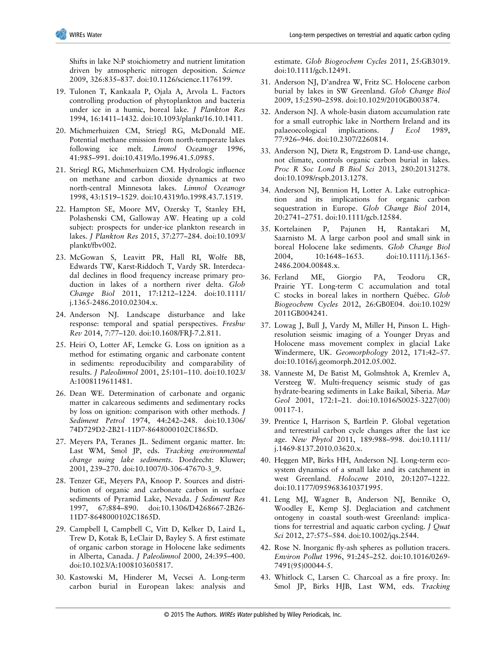Shifts in lake N:P stoichiometry and nutrient limitation driven by atmospheric nitrogen deposition. *Science* 2009, 326:835–837. doi:10.1126/science.1176199.

- 19. Tulonen T, Kankaala P, Ojala A, Arvola L. Factors controlling production of phytoplankton and bacteria under ice in a humic, boreal lake. *J Plankton Res* 1994, 16:1411–1432. doi:10.1093/plankt/16.10.1411.
- 20. Michmerhuizen CM, Striegl RG, McDonald ME. Potential methane emission from north-temperate lakes following ice melt. *Limnol Oceanogr* 1996, 41:985–991. doi:10.4319/lo.1996.41.5.0985.
- 21. Striegl RG, Michmerhuizen CM. Hydrologic influence on methane and carbon dioxide dynamics at two north-central Minnesota lakes. *Limnol Oceanogr* 1998, 43:1519–1529. doi:10.4319/lo.1998.43.7.1519.
- 22. Hampton SE, Moore MV, Ozersky T, Stanley EH, Polashenski CM, Galloway AW. Heating up a cold subject: prospects for under-ice plankton research in lakes. *J Plankton Res* 2015, 37:277–284. doi:10.1093/ plankt/fbv002.
- 23. McGowan S, Leavitt PR, Hall RI, Wolfe BB, Edwards TW, Karst-Riddoch T, Vardy SR. Interdecadal declines in flood frequency increase primary production in lakes of a northern river delta. *Glob Change Biol* 2011, 17:1212–1224. doi:10.1111/ j.1365-2486.2010.02304.x.
- 24. Anderson NJ. Landscape disturbance and lake response: temporal and spatial perspectives. *Freshw Rev* 2014, 7:77–120. doi:10.1608/FRJ-7.2.811.
- 25. Heiri O, Lotter AF, Lemcke G. Loss on ignition as a method for estimating organic and carbonate content in sediments: reproducibility and comparability of results. *J Paleolimnol* 2001, 25:101–110. doi:10.1023/ A:1008119611481.
- 26. Dean WE. Determination of carbonate and organic matter in calcareous sediments and sedimentary rocks by loss on ignition: comparison with other methods. *J Sediment Petrol* 1974, 44:242–248. doi:10.1306/ 74D729D2-2B21-11D7-8648000102C1865D.
- 27. Meyers PA, Teranes JL. Sediment organic matter. In: Last WM, Smol JP, eds. *Tracking environmental change using lake sediments*. Dordrecht: Kluwer; 2001, 239–270. doi:10.1007/0-306-47670-3\_9.
- 28. Tenzer GE, Meyers PA, Knoop P. Sources and distribution of organic and carbonate carbon in surface sediments of Pyramid Lake, Nevada. *J Sediment Res* 1997, 67:884–890. doi:10.1306/D4268667-2B26- 11D7-8648000102C1865D.
- 29. Campbell I, Campbell C, Vitt D, Kelker D, Laird L, Trew D, Kotak B, LeClair D, Bayley S. A first estimate of organic carbon storage in Holocene lake sediments in Alberta, Canada. *J Paleolimnol* 2000, 24:395–400. doi:10.1023/A:1008103605817.
- 30. Kastowski M, Hinderer M, Vecsei A. Long-term carbon burial in European lakes: analysis and

estimate. *Glob Biogeochem Cycles* 2011, 25:GB3019. doi:10.1111/gcb.12491.

- 31. Anderson NJ, D'andrea W, Fritz SC. Holocene carbon burial by lakes in SW Greenland. *Glob Change Biol* 2009, 15:2590–2598. doi:10.1029/2010GB003874.
- 32. Anderson NJ. A whole-basin diatom accumulation rate for a small eutrophic lake in Northern Ireland and its palaeoecological implications. *J Ecol* 1989, 77:926–946. doi:10.2307/2260814.
- 33. Anderson NJ, Dietz R, Engstrom D. Land-use change, not climate, controls organic carbon burial in lakes. *Proc R Soc Lond B Biol Sci* 2013, 280:20131278. doi:10.1098/rspb.2013.1278.
- 34. Anderson NJ, Bennion H, Lotter A. Lake eutrophication and its implications for organic carbon sequestration in Europe. *Glob Change Biol* 2014, 20:2741–2751. doi:10.1111/gcb.12584.
- 35. Kortelainen P, Pajunen H, Rantakari M, Saarnisto M. A large carbon pool and small sink in boreal Holocene lake sediments. *Glob Change Biol* 2004, 10:1648–1653. doi:10.1111/j.1365- 2486.2004.00848.x.
- 36. Ferland ME, Giorgio PA, Teodoru CR, Prairie YT. Long-term C accumulation and total C stocks in boreal lakes in northern Québec. *Glob Biogeochem Cycles* 2012, 26:GB0E04. doi:10.1029/ 2011GB004241.
- 37. Lowag J, Bull J, Vardy M, Miller H, Pinson L. Highresolution seismic imaging of a Younger Dryas and Holocene mass movement complex in glacial Lake Windermere, UK. *Geomorphology* 2012, 171:42–57. doi:10.1016/j.geomorph.2012.05.002.
- 38. Vanneste M, De Batist M, Golmshtok A, Kremlev A, Versteeg W. Multi-frequency seismic study of gas hydrate-bearing sediments in Lake Baikal, Siberia. *Mar Geol* 2001, 172:1–21. doi:10.1016/S0025-3227(00) 00117-1.
- 39. Prentice I, Harrison S, Bartlein P. Global vegetation and terrestrial carbon cycle changes after the last ice age. *New Phytol* 2011, 189:988–998. doi:10.1111/ j.1469-8137.2010.03620.x.
- 40. Heggen MP, Birks HH, Anderson NJ. Long-term ecosystem dynamics of a small lake and its catchment in west Greenland. *Holocene* 2010, 20:1207–1222. doi:10.1177/0959683610371995.
- 41. Leng MJ, Wagner B, Anderson NJ, Bennike O, Woodley E, Kemp SJ. Deglaciation and catchment ontogeny in coastal south-west Greenland: implications for terrestrial and aquatic carbon cycling. *J Quat Sci* 2012, 27:575–584. doi:10.1002/jqs.2544.
- 42. Rose N. Inorganic fly-ash spheres as pollution tracers. *Environ Pollut* 1996, 91:245–252. doi:10.1016/0269- 7491(95)00044-5.
- 43. Whitlock C, Larsen C. Charcoal as a fire proxy. In: Smol JP, Birks HJB, Last WM, eds. *Tracking*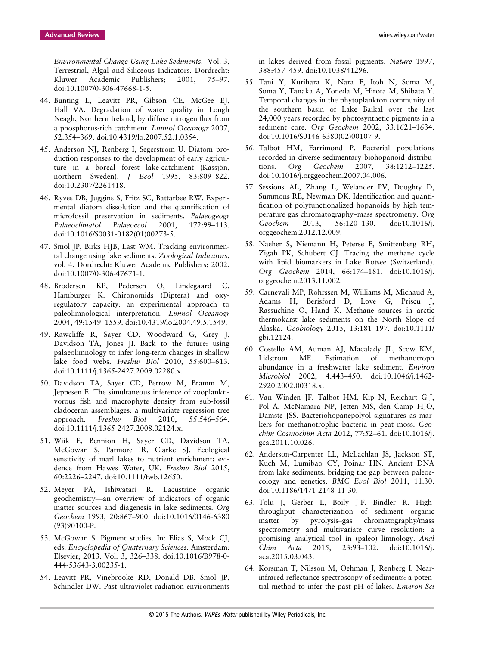*Environmental Change Using Lake Sediments*. Vol. 3, Terrestrial, Algal and Siliceous Indicators. Dordrecht: Kluwer Academic Publishers; 2001, 75–97. doi:10.1007/0-306-47668-1-5.

- 44. Bunting L, Leavitt PR, Gibson CE, McGee EJ, Hall VA. Degradation of water quality in Lough Neagh, Northern Ireland, by diffuse nitrogen flux from a phosphorus-rich catchment. *Limnol Oceanogr* 2007, 52:354–369. doi:10.4319/lo.2007.52.1.0354.
- 45. Anderson NJ, Renberg I, Segerstrom U. Diatom production responses to the development of early agriculture in a boreal forest lake-catchment (Kassjön, northern Sweden). *J Ecol* 1995, 83:809–822. doi:10.2307/2261418.
- 46. Ryves DB, Juggins S, Fritz SC, Battarbee RW. Experimental diatom dissolution and the quantification of microfossil preservation in sediments. *Palaeogeogr Palaeoclimatol Palaeoecol* 2001, 172:99–113. doi:10.1016/S0031-0182(01)00273-5.
- 47. Smol JP, Birks HJB, Last WM. Tracking environmental change using lake sediments. *Zoological Indicators*, vol. 4. Dordrecht: Kluwer Academic Publishers; 2002. doi:10.1007/0-306-47671-1.
- 48. Brodersen KP, Pedersen O, Lindegaard C, Hamburger K. Chironomids (Diptera) and oxyregulatory capacity: an experimental approach to paleolimnological interpretation. *Limnol Oceanogr* 2004, 49:1549–1559. doi:10.4319/lo.2004.49.5.1549.
- 49. Rawcliffe R, Sayer CD, Woodward G, Grey J, Davidson TA, Jones JI. Back to the future: using palaeolimnology to infer long-term changes in shallow lake food webs. *Freshw Biol* 2010, 55:600–613. doi:10.1111/j.1365-2427.2009.02280.x.
- 50. Davidson TA, Sayer CD, Perrow M, Bramm M, Jeppesen E. The simultaneous inference of zooplanktivorous fish and macrophyte density from sub-fossil cladoceran assemblages: a multivariate regression tree approach. *Freshw Biol* 2010, 55:546–564. doi:10.1111/j.1365-2427.2008.02124.x.
- 51. Wiik E, Bennion H, Sayer CD, Davidson TA, McGowan S, Patmore IR, Clarke SJ. Ecological sensitivity of marl lakes to nutrient enrichment: evidence from Hawes Water, UK. *Freshw Biol* 2015, 60:2226–2247. doi:10.1111/fwb.12650.
- 52. Meyer PA, Ishiwatari R. Lacustrine organic geochemistry—an overview of indicators of organic matter sources and diagenesis in lake sediments. *Org Geochem* 1993, 20:867–900. doi:10.1016/0146-6380 (93)90100-P.
- 53. McGowan S. Pigment studies. In: Elias S, Mock CJ, eds. *Encyclopedia of Quaternary Sciences*. Amsterdam: Elsevier; 2013. Vol. 3, 326–338. doi:10.1016/B978-0- 444-53643-3.00235-1.
- 54. Leavitt PR, Vinebrooke RD, Donald DB, Smol JP, Schindler DW. Past ultraviolet radiation environments

in lakes derived from fossil pigments. *Nature* 1997, 388:457–459. doi:10.1038/41296.

- 55. Tani Y, Kurihara K, Nara F, Itoh N, Soma M, Soma Y, Tanaka A, Yoneda M, Hirota M, Shibata Y. Temporal changes in the phytoplankton community of the southern basin of Lake Baikal over the last 24,000 years recorded by photosynthetic pigments in a sediment core. *Org Geochem* 2002, 33:1621–1634. doi:10.1016/S0146-6380(02)00107-9.
- 56. Talbot HM, Farrimond P. Bacterial populations recorded in diverse sedimentary biohopanoid distributions. *Org Geochem* 2007, 38:1212–1225. doi:10.1016/j.orggeochem.2007.04.006.
- 57. Sessions AL, Zhang L, Welander PV, Doughty D, Summons RE, Newman DK. Identification and quantification of polyfunctionalized hopanoids by high temperature gas chromatography–mass spectrometry. *Org Geochem* 2013, 56:120–130. doi:10.1016/j. orggeochem.2012.12.009.
- 58. Naeher S, Niemann H, Peterse F, Smittenberg RH, Zigah PK, Schubert CJ. Tracing the methane cycle with lipid biomarkers in Lake Rotsee (Switzerland). *Org Geochem* 2014, 66:174–181. doi:10.1016/j. orggeochem.2013.11.002.
- 59. Carnevali MP, Rohrssen M, Williams M, Michaud A, Adams H, Berisford D, Love G, Priscu J, Rassuchine O, Hand K. Methane sources in arctic thermokarst lake sediments on the North Slope of Alaska. *Geobiology* 2015, 13:181–197. doi:10.1111/ gbi.12124.
- 60. Costello AM, Auman AJ, Macalady JL, Scow KM, Lidstrom ME. Estimation of methanotroph abundance in a freshwater lake sediment. *Environ Microbiol* 2002, 4:443–450. doi:10.1046/j.1462- 2920.2002.00318.x.
- 61. Van Winden JF, Talbot HM, Kip N, Reichart G-J, Pol A, McNamara NP, Jetten MS, den Camp HJO, Damste JSS. Bacteriohopanepolyol signatures as markers for methanotrophic bacteria in peat moss. *Geochim Cosmochim Acta* 2012, 77:52–61. doi:10.1016/j. gca.2011.10.026.
- 62. Anderson-Carpenter LL, McLachlan JS, Jackson ST, Kuch M, Lumibao CY, Poinar HN. Ancient DNA from lake sediments: bridging the gap between paleoecology and genetics. *BMC Evol Biol* 2011, 11:30. doi:10.1186/1471-2148-11-30.
- 63. Tolu J, Gerber L, Boily J-F, Bindler R. Highthroughput characterization of sediment organic matter by pyrolysis–gas chromatography/mass spectrometry and multivariate curve resolution: a promising analytical tool in (paleo) limnology. *Anal Chim Acta* 2015, 23:93–102. doi:10.1016/j. aca.2015.03.043.
- 64. Korsman T, Nilsson M, Oehman J, Renberg I. Nearinfrared reflectance spectroscopy of sediments: a potential method to infer the past pH of lakes. *Environ Sci*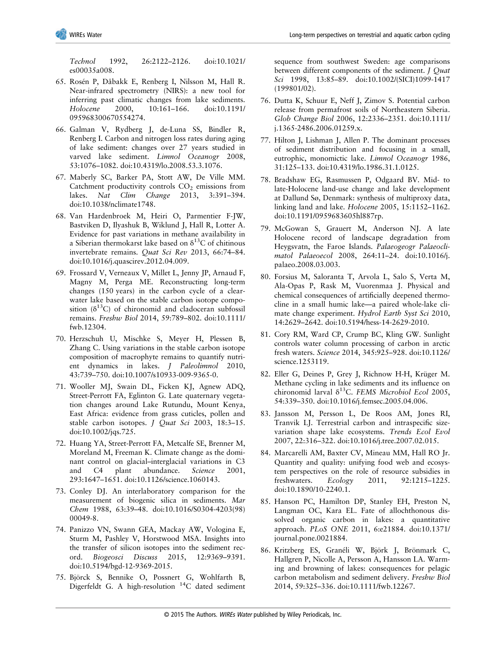*Technol* 1992, 26:2122–2126. doi:10.1021/ es00035a008.

- 65. Rosén P, Dåbakk E, Renberg I, Nilsson M, Hall R. Near-infrared spectrometry (NIRS): a new tool for inferring past climatic changes from lake sediments. *Holocene* 2000, 10:161–166. doi:10.1191/ 095968300670554274.
- 66. Galman V, Rydberg J, de-Luna SS, Bindler R, Renberg I. Carbon and nitrogen loss rates during aging of lake sediment: changes over 27 years studied in varved lake sediment. *Limnol Oceanogr* 2008, 53:1076–1082. doi:10.4319/lo.2008.53.3.1076.
- 67. Maberly SC, Barker PA, Stott AW, De Ville MM. Catchment productivity controls  $CO<sub>2</sub>$  emissions from lakes. *Nat Clim Change* 2013, 3:391–394. doi:10.1038/nclimate1748.
- 68. Van Hardenbroek M, Heiri O, Parmentier F-JW, Bastviken D, Ilyashuk B, Wiklund J, Hall R, Lotter A. Evidence for past variations in methane availability in a Siberian thermokarst lake based on  $\delta^{13}$ C of chitinous invertebrate remains. *Quat Sci Rev* 2013, 66:74–84. doi:10.1016/j.quascirev.2012.04.009.
- 69. Frossard V, Verneaux V, Millet L, Jenny JP, Arnaud F, Magny M, Perga ME. Reconstructing long-term changes (150 years) in the carbon cycle of a clearwater lake based on the stable carbon isotope composition  $(\delta^{13}C)$  of chironomid and cladoceran subfossil remains. *Freshw Biol* 2014, 59:789–802. doi:10.1111/ fwb.12304.
- 70. Herzschuh U, Mischke S, Meyer H, Plessen B, Zhang C. Using variations in the stable carbon isotope composition of macrophyte remains to quantify nutrient dynamics in lakes. *J Paleolimnol* 2010, 43:739–750. doi:10.1007/s10933-009-9365-0.
- 71. Wooller MJ, Swain DL, Ficken KJ, Agnew ADQ, Street-Perrott FA, Eglinton G. Late quaternary vegetation changes around Lake Rutundu, Mount Kenya, East Africa: evidence from grass cuticles, pollen and stable carbon isotopes. *J Quat Sci* 2003, 18:3–15. doi:10.1002/jqs.725.
- 72. Huang YA, Street-Perrott FA, Metcalfe SE, Brenner M, Moreland M, Freeman K. Climate change as the dominant control on glacial–interglacial variations in C3 and C4 plant abundance. *Science* 2001, 293:1647–1651. doi:10.1126/science.1060143.
- 73. Conley DJ. An interlaboratory comparison for the measurement of biogenic silica in sediments. *Mar Chem* 1988, 63:39–48. doi:10.1016/S0304-4203(98) 00049-8.
- 74. Panizzo VN, Swann GEA, Mackay AW, Vologina E, Sturm M, Pashley V, Horstwood MSA. Insights into the transfer of silicon isotopes into the sediment record. *Biogeosci Discuss* 2015, 12:9369–9391. doi:10.5194/bgd-12-9369-2015.
- 75. Björck S, Bennike O, Possnert G, Wohlfarth B, Digerfeldt G. A high-resolution  ${}^{14}C$  dated sediment

sequence from southwest Sweden: age comparisons between different components of the sediment. *J Quat Sci* 1998, 13:85–89. doi:10.1002/(SICI)1099-1417 (199801/02).

- 76. Dutta K, Schuur E, Neff J, Zimov S. Potential carbon release from permafrost soils of Northeastern Siberia. *Glob Change Biol* 2006, 12:2336–2351. doi:10.1111/ j.1365-2486.2006.01259.x.
- 77. Hilton J, Lishman J, Allen P. The dominant processes of sediment distribution and focusing in a small, eutrophic, monomictic lake. *Limnol Oceanogr* 1986, 31:125–133. doi:10.4319/lo.1986.31.1.0125.
- 78. Bradshaw EG, Rasmussen P, Odgaard BV. Mid- to late-Holocene land-use change and lake development at Dallund Sø, Denmark: synthesis of multiproxy data, linking land and lake. *Holocene* 2005, 15:1152–1162. doi:10.1191/0959683605hl887rp.
- 79. McGowan S, Grauert M, Anderson NJ. A late Holocene record of landscape degradation from Heygsvatn, the Faroe Islands. *Palaeogeogr Palaeoclimatol Palaeoecol* 2008, 264:11–24. doi:10.1016/j. palaeo.2008.03.003.
- 80. Forsius M, Saloranta T, Arvola L, Salo S, Verta M, Ala-Opas P, Rask M, Vuorenmaa J. Physical and chemical consequences of artificially deepened thermocline in a small humic lake—a paired whole-lake climate change experiment. *Hydrol Earth Syst Sci* 2010, 14:2629–2642. doi:10.5194/hess-14-2629-2010.
- 81. Cory RM, Ward CP, Crump BC, Kling GW. Sunlight controls water column processing of carbon in arctic fresh waters. *Science* 2014, 345:925–928. doi:10.1126/ science.1253119.
- 82. Eller G, Deines P, Grey J, Richnow H-H, Krüger M. Methane cycling in lake sediments and its influence on chironomid larval δ13C. *FEMS Microbiol Ecol* 2005, 54:339–350. doi:10.1016/j.femsec.2005.04.006.
- 83. Jansson M, Persson L, De Roos AM, Jones RI, Tranvik LJ. Terrestrial carbon and intraspecific sizevariation shape lake ecosystems. *Trends Ecol Evol* 2007, 22:316–322. doi:10.1016/j.tree.2007.02.015.
- 84. Marcarelli AM, Baxter CV, Mineau MM, Hall RO Jr. Quantity and quality: unifying food web and ecosystem perspectives on the role of resource subsidies in freshwaters. *Ecology* 2011, 92:1215–1225. doi:10.1890/10-2240.1.
- 85. Hanson PC, Hamilton DP, Stanley EH, Preston N, Langman OC, Kara EL. Fate of allochthonous dissolved organic carbon in lakes: a quantitative approach. *PLoS ONE* 2011, 6:e21884. doi:10.1371/ journal.pone.0021884.
- 86. Kritzberg ES, Granéli W, Björk J, Brönmark C, Hallgren P, Nicolle A, Persson A, Hansson LA. Warming and browning of lakes: consequences for pelagic carbon metabolism and sediment delivery. *Freshw Biol* 2014, 59:325–336. doi:10.1111/fwb.12267.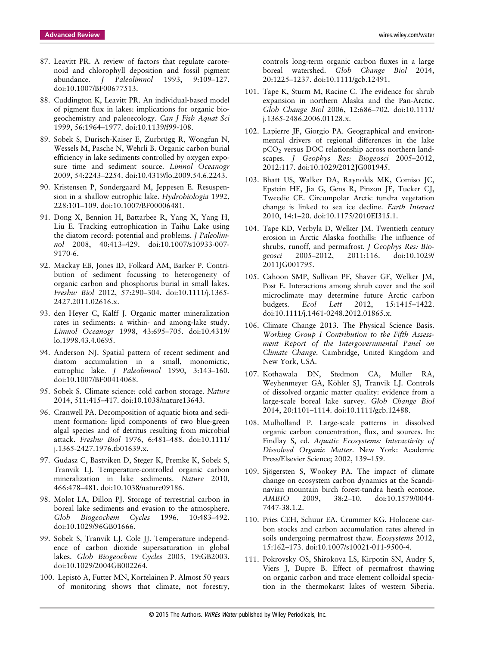- 87. Leavitt PR. A review of factors that regulate carotenoid and chlorophyll deposition and fossil pigment abundance. *J Paleolimnol* 1993, 9:109–127. doi:10.1007/BF00677513.
- 88. Cuddington K, Leavitt PR. An individual-based model of pigment flux in lakes: implications for organic biogeochemistry and paleoecology. *Can J Fish Aquat Sci* 1999, 56:1964–1977. doi:10.1139/f99-108.
- 89. Sobek S, Durisch-Kaiser E, Zurbrügg R, Wongfun N, Wessels M, Pasche N, Wehrli B. Organic carbon burial efficiency in lake sediments controlled by oxygen exposure time and sediment source. *Limnol Oceanogr* 2009, 54:2243–2254. doi:10.4319/lo.2009.54.6.2243.
- 90. Kristensen P, Sondergaard M, Jeppesen E. Resuspension in a shallow eutrophic lake. *Hydrobiologia* 1992, 228:101–109. doi:10.1007/BF00006481.
- 91. Dong X, Bennion H, Battarbee R, Yang X, Yang H, Liu E. Tracking eutrophication in Taihu Lake using the diatom record: potential and problems. *J Paleolimnol* 2008, 40:413–429. doi:10.1007/s10933-007- 9170-6.
- 92. Mackay EB, Jones ID, Folkard AM, Barker P. Contribution of sediment focussing to heterogeneity of organic carbon and phosphorus burial in small lakes. *Freshw Biol* 2012, 57:290–304. doi:10.1111/j.1365- 2427.2011.02616.x.
- 93. den Heyer C, Kalff J. Organic matter mineralization rates in sediments: a within- and among-lake study. *Limnol Oceanogr* 1998, 43:695–705. doi:10.4319/ lo.1998.43.4.0695.
- 94. Anderson NJ. Spatial pattern of recent sediment and diatom accumulation in a small, monomictic, eutrophic lake. *J Paleolimnol* 1990, 3:143–160. doi:10.1007/BF00414068.
- 95. Sobek S. Climate science: cold carbon storage. *Nature* 2014, 511:415–417. doi:10.1038/nature13643.
- 96. Cranwell PA. Decomposition of aquatic biota and sediment formation: lipid components of two blue-green algal species and of detritus resulting from microbial attack. *Freshw Biol* 1976, 6:481–488. doi:10.1111/ j.1365-2427.1976.tb01639.x.
- 97. Gudasz C, Bastviken D, Steger K, Premke K, Sobek S, Tranvik LJ. Temperature-controlled organic carbon mineralization in lake sediments. *Nature* 2010, 466:478–481. doi:10.1038/nature09186.
- 98. Molot LA, Dillon PJ. Storage of terrestrial carbon in boreal lake sediments and evasion to the atmosphere. *Glob Biogeochem Cycles* 1996, 10:483–492. doi:10.1029/96GB01666.
- 99. Sobek S, Tranvik LJ, Cole JJ. Temperature independence of carbon dioxide supersaturation in global lakes. *Glob Biogeochem Cycles* 2005, 19:GB2003. doi:10.1029/2004GB002264.
- 100. Lepistö A, Futter MN, Kortelainen P. Almost 50 years of monitoring shows that climate, not forestry,

controls long-term organic carbon fluxes in a large boreal watershed. *Glob Change Biol* 2014, 20:1225–1237. doi:10.1111/gcb.12491.

- 101. Tape K, Sturm M, Racine C. The evidence for shrub expansion in northern Alaska and the Pan-Arctic. *Glob Change Biol* 2006, 12:686–702. doi:10.1111/ j.1365-2486.2006.01128.x.
- 102. Lapierre JF, Giorgio PA. Geographical and environmental drivers of regional differences in the lake pCO2 versus DOC relationship across northern landscapes. *J Geophys Res: Biogeosci* 2005–2012, 2012:117. doi:10.1029/2012JG001945.
- 103. Bhatt US, Walker DA, Raynolds MK, Comiso JC, Epstein HE, Jia G, Gens R, Pinzon JE, Tucker CJ, Tweedie CE. Circumpolar Arctic tundra vegetation change is linked to sea ice decline. *Earth Interact* 2010, 14:1–20. doi:10.1175/2010EI315.1.
- 104. Tape KD, Verbyla D, Welker JM. Twentieth century erosion in Arctic Alaska foothills: The influence of shrubs, runoff, and permafrost. *J Geophys Res: Biogeosci* 2005–2012, 2011:116. doi:10.1029/ 2011JG001795.
- 105. Cahoon SMP, Sullivan PF, Shaver GF, Welker JM, Post E. Interactions among shrub cover and the soil microclimate may determine future Arctic carbon budgets. *Ecol Lett* 2012, 15:1415–1422. doi:10.1111/j.1461-0248.2012.01865.x.
- 106. Climate Change 2013. The Physical Science Basis. *Working Group I Contribution to the Fifth Assessment Report of the Intergovernmental Panel on Climate Change*. Cambridge, United Kingdom and New York, USA.
- 107. Kothawala DN, Stedmon CA, Müller RA, Weyhenmeyer GA, Köhler SJ, Tranvik LJ. Controls of dissolved organic matter quality: evidence from a large-scale boreal lake survey. *Glob Change Biol* 2014, 20:1101–1114. doi:10.1111/gcb.12488.
- 108. Mulholland P. Large-scale patterns in dissolved organic carbon concentration, flux, and sources. In: Findlay S, ed. *Aquatic Ecosystems: Interactivity of Dissolved Organic Matter*. New York: Academic Press/Elsevier Science; 2002, 139–159.
- 109. Sjögersten S, Wookey PA. The impact of climate change on ecosystem carbon dynamics at the Scandinavian mountain birch forest-tundra heath ecotone. *AMBIO* 2009, 38:2–10. doi:10.1579/0044- 7447-38.1.2.
- 110. Pries CEH, Schuur EA, Crummer KG. Holocene carbon stocks and carbon accumulation rates altered in soils undergoing permafrost thaw. *Ecosystems* 2012, 15:162–173. doi:10.1007/s10021-011-9500-4.
- 111. Pokrovsky OS, Shirokova LS, Kirpotin SN, Audry S, Viers J, Dupre B. Effect of permafrost thawing on organic carbon and trace element colloidal speciation in the thermokarst lakes of western Siberia.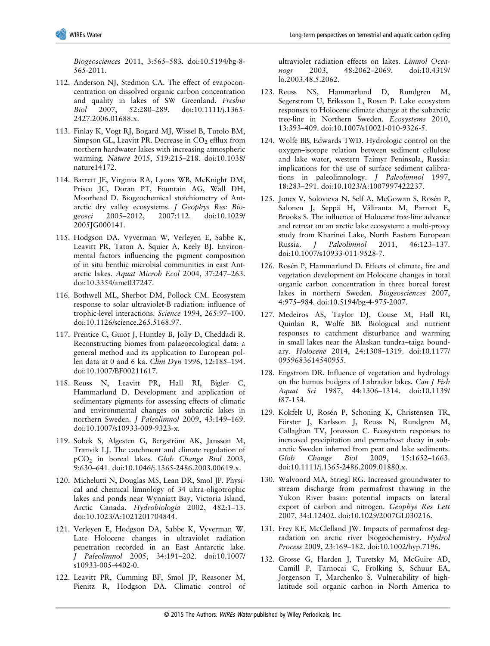*Biogeosciences* 2011, 3:565–583. doi:10.5194/bg-8- 565-2011.

- 112. Anderson NJ, Stedmon CA. The effect of evapoconcentration on dissolved organic carbon concentration and quality in lakes of SW Greenland. *Freshw Biol* 2007, 52:280–289. doi:10.1111/j.1365- 2427.2006.01688.x.
- 113. Finlay K, Vogt RJ, Bogard MJ, Wissel B, Tutolo BM, Simpson GL, Leavitt PR. Decrease in  $CO<sub>2</sub>$  efflux from northern hardwater lakes with increasing atmospheric warming. *Nature* 2015, 519:215–218. doi:10.1038/ nature14172.
- 114. Barrett JE, Virginia RA, Lyons WB, McKnight DM, Priscu JC, Doran PT, Fountain AG, Wall DH, Moorhead D. Biogeochemical stoichiometry of Antarctic dry valley ecosystems. *J Geophys Res: Biogeosci* 2005–2012, 2007:112. doi:10.1029/ 2005JG000141.
- 115. Hodgson DA, Vyverman W, Verleyen E, Sabbe K, Leavitt PR, Taton A, Squier A, Keely BJ. Environmental factors influencing the pigment composition of in situ benthic microbial communities in east Antarctic lakes. *Aquat Microb Ecol* 2004, 37:247–263. doi:10.3354/ame037247.
- 116. Bothwell ML, Sherbot DM, Pollock CM. Ecosystem response to solar ultraviolet-B radiation: influence of trophic-level interactions. *Science* 1994, 265:97–100. doi:10.1126/science.265.5168.97.
- 117. Prentice C, Guiot J, Huntley B, Jolly D, Cheddadi R. Reconstructing biomes from palaeoecological data: a general method and its application to European pollen data at 0 and 6 ka. *Clim Dyn* 1996, 12:185–194. doi:10.1007/BF00211617.
- 118. Reuss N, Leavitt PR, Hall RI, Bigler C, Hammarlund D. Development and application of sedimentary pigments for assessing effects of climatic and environmental changes on subarctic lakes in northern Sweden. *J Paleolimnol* 2009, 43:149–169. doi:10.1007/s10933-009-9323-x.
- 119. Sobek S, Algesten G, Bergström AK, Jansson M, Tranvik LJ. The catchment and climate regulation of pCO2 in boreal lakes. *Glob Change Biol* 2003, 9:630–641. doi:10.1046/j.1365-2486.2003.00619.x.
- 120. Michelutti N, Douglas MS, Lean DR, Smol JP. Physical and chemical limnology of 34 ultra-oligotrophic lakes and ponds near Wynniatt Bay, Victoria Island, Arctic Canada. *Hydrobiologia* 2002, 482:1–13. doi:10.1023/A:1021201704844.
- 121. Verleyen E, Hodgson DA, Sabbe K, Vyverman W. Late Holocene changes in ultraviolet radiation penetration recorded in an East Antarctic lake. *J Paleolimnol* 2005, 34:191–202. doi:10.1007/ s10933-005-4402-0.
- 122. Leavitt PR, Cumming BF, Smol JP, Reasoner M, Pienitz R, Hodgson DA. Climatic control of

ultraviolet radiation effects on lakes. *Limnol Oceanogr* 2003, 48:2062–2069. doi:10.4319/ lo.2003.48.5.2062.

- 123. Reuss NS, Hammarlund D, Rundgren M, Segerstrom U, Eriksson L, Rosen P. Lake ecosystem responses to Holocene climate change at the subarctic tree-line in Northern Sweden. *Ecosystems* 2010, 13:393–409. doi:10.1007/s10021-010-9326-5.
- 124. Wolfe BB, Edwards TWD. Hydrologic control on the oxygen–isotope relation between sediment cellulose and lake water, western Taimyr Peninsula, Russia: implications for the use of surface sediment calibrations in paleolimnology. *J Paleolimnol* 1997, 18:283–291. doi:10.1023/A:1007997422237.
- 125. Jones V, Solovieva N, Self A, McGowan S, Rosén P, Salonen J, Seppä H, Väliranta M, Parrott E, Brooks S. The influence of Holocene tree-line advance and retreat on an arctic lake ecosystem: a multi-proxy study from Kharinei Lake, North Eastern European Russia. *J Paleolimnol* 2011, 46:123–137. doi:10.1007/s10933-011-9528-7.
- 126. Rosén P, Hammarlund D. Effects of climate, fire and vegetation development on Holocene changes in total organic carbon concentration in three boreal forest lakes in northern Sweden. *Biogeosciences* 2007, 4:975–984. doi:10.5194/bg-4-975-2007.
- 127. Medeiros AS, Taylor DJ, Couse M, Hall RI, Quinlan R, Wolfe BB. Biological and nutrient responses to catchment disturbance and warming in small lakes near the Alaskan tundra–taiga boundary. *Holocene* 2014, 24:1308–1319. doi:10.1177/ 0959683614540955.
- 128. Engstrom DR. Influence of vegetation and hydrology on the humus budgets of Labrador lakes. *Can J Fish Aquat Sci* 1987, 44:1306–1314. doi:10.1139/ f87-154.
- 129. Kokfelt U, Rosén P, Schoning K, Christensen TR, Förster J, Karlsson J, Reuss N, Rundgren M, Callaghan TV, Jonasson C. Ecosystem responses to increased precipitation and permafrost decay in subarctic Sweden inferred from peat and lake sediments. *Glob Change Biol* 2009, 15:1652–1663. doi:10.1111/j.1365-2486.2009.01880.x.
- 130. Walvoord MA, Striegl RG. Increased groundwater to stream discharge from permafrost thawing in the Yukon River basin: potential impacts on lateral export of carbon and nitrogen. *Geophys Res Lett* 2007, 34:L12402. doi:10.1029/2007GL030216.
- 131. Frey KE, McClelland JW. Impacts of permafrost degradation on arctic river biogeochemistry. *Hydrol Process* 2009, 23:169–182. doi:10.1002/hyp.7196.
- 132. Grosse G, Harden J, Turetsky M, McGuire AD, Camill P, Tarnocai C, Frolking S, Schuur EA, Jorgenson T, Marchenko S. Vulnerability of highlatitude soil organic carbon in North America to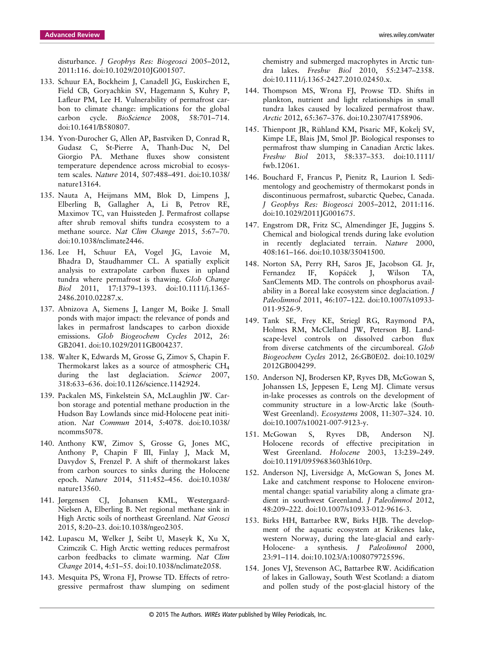disturbance. *J Geophys Res: Biogeosci* 2005–2012, 2011:116. doi:10.1029/2010JG001507.

- 133. Schuur EA, Bockheim J, Canadell JG, Euskirchen E, Field CB, Goryachkin SV, Hagemann S, Kuhry P, Lafleur PM, Lee H. Vulnerability of permafrost carbon to climate change: implications for the global carbon cycle. *BioScience* 2008, 58:701–714. doi:10.1641/B580807.
- 134. Yvon-Durocher G, Allen AP, Bastviken D, Conrad R, Gudasz C, St-Pierre A, Thanh-Duc N, Del Giorgio PA. Methane fluxes show consistent temperature dependence across microbial to ecosystem scales. *Nature* 2014, 507:488–491. doi:10.1038/ nature13164.
- 135. Nauta A, Heijmans MM, Blok D, Limpens J, Elberling B, Gallagher A, Li B, Petrov RE, Maximov TC, van Huissteden J. Permafrost collapse after shrub removal shifts tundra ecosystem to a methane source. *Nat Clim Change* 2015, 5:67–70. doi:10.1038/nclimate2446.
- 136. Lee H, Schuur EA, Vogel JG, Lavoie M, Bhadra D, Staudhammer CL. A spatially explicit analysis to extrapolate carbon fluxes in upland tundra where permafrost is thawing. *Glob Change Biol* 2011, 17:1379–1393. doi:10.1111/j.1365- 2486.2010.02287.x.
- 137. Abnizova A, Siemens J, Langer M, Boike J. Small ponds with major impact: the relevance of ponds and lakes in permafrost landscapes to carbon dioxide emissions. *Glob Biogeochem Cycles* 2012, 26: GB2041. doi:10.1029/2011GB004237.
- 138. Walter K, Edwards M, Grosse G, Zimov S, Chapin F. Thermokarst lakes as a source of atmospheric CH4 during the last deglaciation. *Science* 2007, 318:633–636. doi:10.1126/science.1142924.
- 139. Packalen MS, Finkelstein SA, McLaughlin JW. Carbon storage and potential methane production in the Hudson Bay Lowlands since mid-Holocene peat initiation. *Nat Commun* 2014, 5:4078. doi:10.1038/ ncomms5078.
- 140. Anthony KW, Zimov S, Grosse G, Jones MC, Anthony P, Chapin F III, Finlay J, Mack M, Davydov S, Frenzel P. A shift of thermokarst lakes from carbon sources to sinks during the Holocene epoch. *Nature* 2014, 511:452–456. doi:10.1038/ nature13560.
- 141. Jørgensen CJ, Johansen KML, Westergaard-Nielsen A, Elberling B. Net regional methane sink in High Arctic soils of northeast Greenland. *Nat Geosci* 2015, 8:20–23. doi:10.1038/ngeo2305.
- 142. Lupascu M, Welker J, Seibt U, Maseyk K, Xu X, Czimczik C. High Arctic wetting reduces permafrost carbon feedbacks to climate warming. *Nat Clim Change* 2014, 4:51–55. doi:10.1038/nclimate2058.
- 143. Mesquita PS, Wrona FJ, Prowse TD. Effects of retrogressive permafrost thaw slumping on sediment

chemistry and submerged macrophytes in Arctic tundra lakes. *Freshw Biol* 2010, 55:2347–2358. doi:10.1111/j.1365-2427.2010.02450.x.

- 144. Thompson MS, Wrona FJ, Prowse TD. Shifts in plankton, nutrient and light relationships in small tundra lakes caused by localized permafrost thaw. *Arctic* 2012, 65:367–376. doi:10.2307/41758906.
- 145. Thienpont JR, Rühland KM, Pisaric MF, Kokelj SV, Kimpe LE, Blais JM, Smol JP. Biological responses to permafrost thaw slumping in Canadian Arctic lakes. *Freshw Biol* 2013, 58:337–353. doi:10.1111/ fwb.12061.
- 146. Bouchard F, Francus P, Pienitz R, Laurion I. Sedimentology and geochemistry of thermokarst ponds in discontinuous permafrost, subarctic Quebec, Canada. *J Geophys Res: Biogeosci* 2005–2012, 2011:116. doi:10.1029/2011JG001675.
- 147. Engstrom DR, Fritz SC, Almendinger JE, Juggins S. Chemical and biological trends during lake evolution in recently deglaciated terrain. *Nature* 2000, 408:161–166. doi:10.1038/35041500.
- 148. Norton SA, Perry RH, Saros JE, Jacobson GL Jr, Fernandez IF, Kopácek J, Wilson TA, SanClements MD. The controls on phosphorus availability in a Boreal lake ecosystem since deglaciation. *J Paleolimnol* 2011, 46:107–122. doi:10.1007/s10933- 011-9526-9.
- 149. Tank SE, Frey KE, Striegl RG, Raymond PA, Holmes RM, McClelland JW, Peterson BJ. Landscape-level controls on dissolved carbon flux from diverse catchments of the circumboreal. *Glob Biogeochem Cycles* 2012, 26:GB0E02. doi:10.1029/ 2012GB004299.
- 150. Anderson NJ, Brodersen KP, Ryves DB, McGowan S, Johanssen LS, Jeppesen E, Leng MJ. Climate versus in-lake processes as controls on the development of community structure in a low-Arctic lake (South-West Greenland). *Ecosystems* 2008, 11:307–324. 10. doi:10.1007/s10021-007-9123-y.
- 151. McGowan S, Ryves DB, Anderson NJ. Holocene records of effective precipitation in West Greenland. *Holocene* 2003, 13:239–249. doi:10.1191/0959683603hl610rp.
- 152. Anderson NJ, Liversidge A, McGowan S, Jones M. Lake and catchment response to Holocene environmental change: spatial variability along a climate gradient in southwest Greenland. *J Paleolimnol* 2012, 48:209–222. doi:10.1007/s10933-012-9616-3.
- 153. Birks HH, Battarbee RW, Birks HJB. The development of the aquatic ecosystem at Kråkenes lake, western Norway, during the late-glacial and early-Holocene- a synthesis. *J Paleolimnol* 2000, 23:91–114. doi:10.1023/A:1008079725596.
- 154. Jones VJ, Stevenson AC, Battarbee RW. Acidification of lakes in Galloway, South West Scotland: a diatom and pollen study of the post-glacial history of the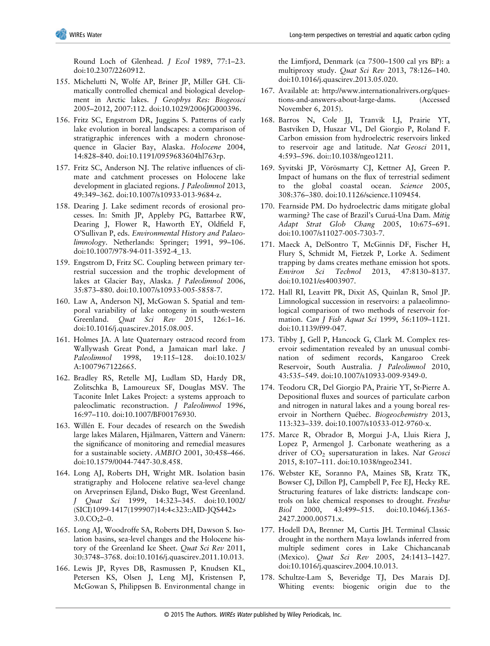Round Loch of Glenhead. *J Ecol* 1989, 77:1–23. doi:10.2307/2260912.

- 155. Michelutti N, Wolfe AP, Briner JP, Miller GH. Climatically controlled chemical and biological development in Arctic lakes. *J Geophys Res: Biogeosci* 2005–2012, 2007:112. doi:10.1029/2006JG000396.
- 156. Fritz SC, Engstrom DR, Juggins S. Patterns of early lake evolution in boreal landscapes: a comparison of stratigraphic inferences with a modern chronosequence in Glacier Bay, Alaska. *Holocene* 2004, 14:828–840. doi:10.1191/0959683604hl763rp.
- 157. Fritz SC, Anderson NJ. The relative influences of climate and catchment processes on Holocene lake development in glaciated regions. *J Paleolimnol* 2013, 49:349–362. doi:10.1007/s10933-013-9684-z.
- 158. Dearing J. Lake sediment records of erosional processes. In: Smith JP, Appleby PG, Battarbee RW, Dearing J, Flower R, Haworth EY, Oldfield F, O'Sullivan P, eds. *Environmental History and Palaeolimnology*. Netherlands: Springer; 1991, 99–106. doi:10.1007/978-94-011-3592-4\_13.
- 159. Engstrom D, Fritz SC. Coupling between primary terrestrial succession and the trophic development of lakes at Glacier Bay, Alaska. *J Paleolimnol* 2006, 35:873–880. doi:10.1007/s10933-005-5858-7.
- 160. Law A, Anderson NJ, McGowan S. Spatial and temporal variability of lake ontogeny in south-western Greenland. *Quat Sci Rev* 2015, 126:1–16. doi:10.1016/j.quascirev.2015.08.005.
- 161. Holmes JA. A late Quaternary ostracod record from Wallywash Great Pond, a Jamaican marl lake. *J Paleolimnol* 1998, 19:115–128. doi:10.1023/ A:1007967122665.
- 162. Bradley RS, Retelle MJ, Ludlam SD, Hardy DR, Zolitschka B, Lamoureux SF, Douglas MSV. The Taconite Inlet Lakes Project: a systems approach to paleoclimatic reconstruction. *J Paleolimnol* 1996, 16:97–110. doi:10.1007/BF00176930.
- 163. Willén E. Four decades of research on the Swedish large lakes Mälaren, Hjälmaren, Vättern and Vänern: the significance of monitoring and remedial measures for a sustainable society. *AMBIO* 2001, 30:458–466. doi:10.1579/0044-7447-30.8.458.
- 164. Long AJ, Roberts DH, Wright MR. Isolation basin stratigraphy and Holocene relative sea-level change on Arveprinsen Ejland, Disko Bugt, West Greenland. *J Quat Sci* 1999, 14:323–345. doi:10.1002/ (SICI)1099-1417(199907)14:4<323::AID-JQS442> 3.0.CO;2–0.
- 165. Long AJ, Woodroffe SA, Roberts DH, Dawson S. Isolation basins, sea-level changes and the Holocene history of the Greenland Ice Sheet. *Quat Sci Rev* 2011, 30:3748–3768. doi:10.1016/j.quascirev.2011.10.013.
- 166. Lewis JP, Ryves DB, Rasmussen P, Knudsen KL, Petersen KS, Olsen J, Leng MJ, Kristensen P, McGowan S, Philippsen B. Environmental change in

the Limfjord, Denmark (ca 7500–1500 cal yrs BP): a multiproxy study. *Quat Sci Rev* 2013, 78:126–140. doi:10.1016/j.quascirev.2013.05.020.

- 167. Available at: [http://www.internationalrivers.org/ques](http://creativecommons.org/licenses/by-nc-nd/4.0/)[tions-and-answers-about-large-dams](http://creativecommons.org/licenses/by-nc-nd/4.0/). (Accessed November 6, 2015).
- 168. Barros N, Cole JJ, Tranvik LJ, Prairie YT, Bastviken D, Huszar VL, Del Giorgio P, Roland F. Carbon emission from hydroelectric reservoirs linked to reservoir age and latitude. *Nat Geosci* 2011, 4:593–596. doi::10.1038/ngeo1211.
- 169. Syvitski JP, Vörösmarty CJ, Kettner AJ, Green P. Impact of humans on the flux of terrestrial sediment to the global coastal ocean. *Science* 2005, 308:376–380. doi:10.1126/science.1109454.
- 170. Fearnside PM. Do hydroelectric dams mitigate global warming? The case of Brazil's Curuá-Una Dam. *Mitig Adapt Strat Glob Chang* 2005, 10:675–691. doi:10.1007/s11027-005-7303-7.
- 171. Maeck A, DelSontro T, McGinnis DF, Fischer H, Flury S, Schmidt M, Fietzek P, Lorke A. Sediment trapping by dams creates methane emission hot spots. *Environ Sci Technol* 2013, 47:8130–8137. doi:10.1021/es4003907.
- 172. Hall RI, Leavitt PR, Dixit AS, Quinlan R, Smol JP. Limnological succession in reservoirs: a palaeolimnological comparison of two methods of reservoir formation. *Can J Fish Aquat Sci* 1999, 56:1109–1121. doi:10.1139/f99-047.
- 173. Tibby J, Gell P, Hancock G, Clark M. Complex reservoir sedimentation revealed by an unusual combination of sediment records, Kangaroo Creek Reservoir, South Australia. *J Paleolimnol* 2010, 43:535–549. doi:10.1007/s10933-009-9349-0.
- 174. Teodoru CR, Del Giorgio PA, Prairie YT, St-Pierre A. Depositional fluxes and sources of particulate carbon and nitrogen in natural lakes and a young boreal reservoir in Northern Québec. *Biogeochemistry* 2013, 113:323–339. doi:10.1007/s10533-012-9760-x.
- 175. Marce R, Obrador B, Morgui J-A, Lluis Riera J, Lopez P, Armengol J. Carbonate weathering as a driver of CO2 supersaturation in lakes. *Nat Geosci* 2015, 8:107–111. doi:10.1038/ngeo2341.
- 176. Webster KE, Soranno PA, Maines SB, Kratz TK, Bowser CJ, Dillon PJ, Campbell P, Fee EJ, Hecky RE. Structuring features of lake districts: landscape controls on lake chemical responses to drought. *Freshw Biol* 2000, 43:499–515. doi:10.1046/j.1365- 2427.2000.00571.x.
- 177. Hodell DA, Brenner M, Curtis JH. Terminal Classic drought in the northern Maya lowlands inferred from multiple sediment cores in Lake Chichancanab (Mexico). *Quat Sci Rev* 2005, 24:1413–1427. doi:10.1016/j.quascirev.2004.10.013.
- 178. Schultze-Lam S, Beveridge TJ, Des Marais DJ. Whiting events: biogenic origin due to the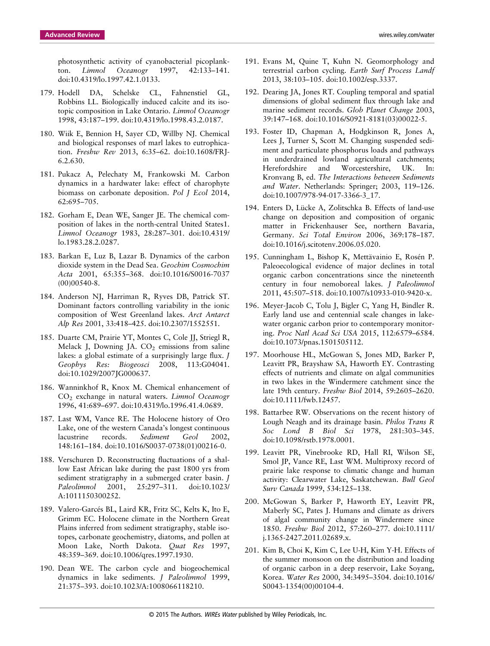photosynthetic activity of cyanobacterial picoplankton. *Limnol Oceanogr* 1997, 42:133–141. doi:10.4319/lo.1997.42.1.0133.

- 179. Hodell DA, Schelske CL, Fahnenstiel GL, Robbins LL. Biologically induced calcite and its isotopic composition in Lake Ontario. *Limnol Oceanogr* 1998, 43:187–199. doi:10.4319/lo.1998.43.2.0187.
- 180. Wiik E, Bennion H, Sayer CD, Willby NJ. Chemical and biological responses of marl lakes to eutrophication. *Freshw Rev* 2013, 6:35–62. doi:10.1608/FRJ-6.2.630.
- 181. Pukacz A, Pelechaty M, Frankowski M. Carbon dynamics in a hardwater lake: effect of charophyte biomass on carbonate deposition. *Pol J Ecol* 2014, 62:695–705.
- 182. Gorham E, Dean WE, Sanger JE. The chemical composition of lakes in the north-central United States1. *Limnol Oceanogr* 1983, 28:287–301. doi:10.4319/ lo.1983.28.2.0287.
- 183. Barkan E, Luz B, Lazar B. Dynamics of the carbon dioxide system in the Dead Sea. *Geochim Cosmochim Acta* 2001, 65:355–368. doi:10.1016/S0016-7037 (00)00540-8.
- 184. Anderson NJ, Harriman R, Ryves DB, Patrick ST. Dominant factors controlling variability in the ionic composition of West Greenland lakes. *Arct Antarct Alp Res* 2001, 33:418–425. doi:10.2307/1552551.
- 185. Duarte CM, Prairie YT, Montes C, Cole JJ, Striegl R, Melack J, Downing JA.  $CO<sub>2</sub>$  emissions from saline lakes: a global estimate of a surprisingly large flux. *J Geophys Res: Biogeosci* 2008, 113:G04041. doi:10.1029/2007JG000637.
- 186. Wanninkhof R, Knox M. Chemical enhancement of CO2 exchange in natural waters. *Limnol Oceanogr* 1996, 41:689–697. doi:10.4319/lo.1996.41.4.0689.
- 187. Last WM, Vance RE. The Holocene history of Oro Lake, one of the western Canada's longest continuous lacustrine records. *Sediment Geol* 2002, 148:161–184. doi:10.1016/S0037-0738(01)00216-0.
- 188. Verschuren D. Reconstructing fluctuations of a shallow East African lake during the past 1800 yrs from sediment stratigraphy in a submerged crater basin. *J Paleolimnol* 2001, 25:297–311. doi:10.1023/ A:1011150300252.
- 189. Valero-Garcés BL, Laird KR, Fritz SC, Kelts K, Ito E, Grimm EC. Holocene climate in the Northern Great Plains inferred from sediment stratigraphy, stable isotopes, carbonate geochemistry, diatoms, and pollen at Moon Lake, North Dakota. *Quat Res* 1997, 48:359–369. doi:10.1006/qres.1997.1930.
- 190. Dean WE. The carbon cycle and biogeochemical dynamics in lake sediments. *J Paleolimnol* 1999, 21:375–393. doi:10.1023/A:1008066118210.
- 191. Evans M, Quine T, Kuhn N. Geomorphology and terrestrial carbon cycling. *Earth Surf Process Landf* 2013, 38:103–105. doi:10.1002/esp.3337.
- 192. Dearing JA, Jones RT. Coupling temporal and spatial dimensions of global sediment flux through lake and marine sediment records. *Glob Planet Change* 2003, 39:147–168. doi:10.1016/S0921-8181(03)00022-5.
- 193. Foster ID, Chapman A, Hodgkinson R, Jones A, Lees J, Turner S, Scott M. Changing suspended sediment and particulate phosphorus loads and pathways in underdrained lowland agricultural catchments; Herefordshire and Worcestershire, UK. In: Kronvang B, ed. *The Interactions between Sediments and Water*. Netherlands: Springer; 2003, 119–126. doi:10.1007/978-94-017-3366-3\_17.
- 194. Enters D, Lücke A, Zolitschka B. Effects of land-use change on deposition and composition of organic matter in Frickenhauser See, northern Bavaria, Germany. *Sci Total Environ* 2006, 369:178–187. doi:10.1016/j.scitotenv.2006.05.020.
- 195. Cunningham L, Bishop K, Mettävainio E, Rosén P. Paleoecological evidence of major declines in total organic carbon concentrations since the nineteenth century in four nemoboreal lakes. *J Paleolimnol* 2011, 45:507–518. doi:10.1007/s10933-010-9420-x.
- 196. Meyer-Jacob C, Tolu J, Bigler C, Yang H, Bindler R. Early land use and centennial scale changes in lakewater organic carbon prior to contemporary monitoring. *Proc Natl Acad Sci USA* 2015, 112:6579–6584. doi:10.1073/pnas.1501505112.
- 197. Moorhouse HL, McGowan S, Jones MD, Barker P, Leavitt PR, Brayshaw SA, Haworth EY. Contrasting effects of nutrients and climate on algal communities in two lakes in the Windermere catchment since the late 19th century. *Freshw Biol* 2014, 59:2605–2620. doi:10.1111/fwb.12457.
- 198. Battarbee RW. Observations on the recent history of Lough Neagh and its drainage basin. *Philos Trans R Soc Lond B Biol Sci* 1978, 281:303–345. doi:10.1098/rstb.1978.0001.
- 199. Leavitt PR, Vinebrooke RD, Hall RI, Wilson SE, Smol JP, Vance RE, Last WM. Multiproxy record of prairie lake response to climatic change and human activity: Clearwater Lake, Saskatchewan. *Bull Geol Surv Canada* 1999, 534:125–138.
- 200. McGowan S, Barker P, Haworth EY, Leavitt PR, Maberly SC, Pates J. Humans and climate as drivers of algal community change in Windermere since 1850. *Freshw Biol* 2012, 57:260–277. doi:10.1111/ j.1365-2427.2011.02689.x.
- 201. Kim B, Choi K, Kim C, Lee U-H, Kim Y-H. Effects of the summer monsoon on the distribution and loading of organic carbon in a deep reservoir, Lake Soyang, Korea. *Water Res* 2000, 34:3495–3504. doi:10.1016/ S0043-1354(00)00104-4.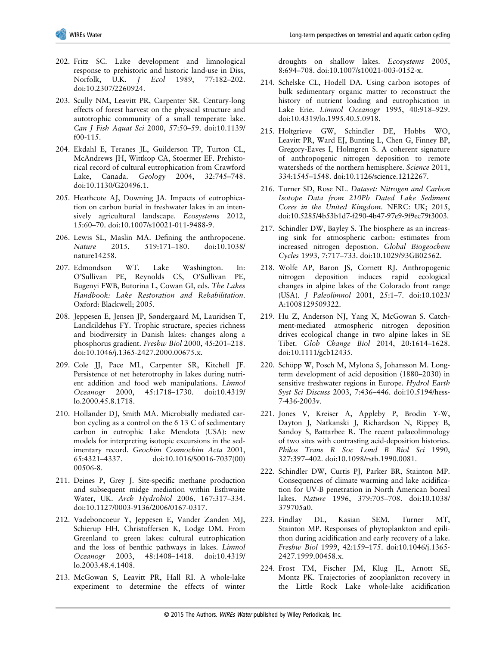- 202. Fritz SC. Lake development and limnological response to prehistoric and historic land-use in Diss, Norfolk, U.K. *J Ecol* 1989, 77:182–202. doi:10.2307/2260924.
- 203. Scully NM, Leavitt PR, Carpenter SR. Century-long effects of forest harvest on the physical structure and autotrophic community of a small temperate lake. *Can J Fish Aquat Sci* 2000, 57:50–59. doi:10.1139/ f00-115.
- 204. Ekdahl E, Teranes JL, Guilderson TP, Turton CL, McAndrews JH, Wittkop CA, Stoermer EF. Prehistorical record of cultural eutrophication from Crawford Lake, Canada. *Geology* 2004, 32:745–748. doi:10.1130/G20496.1.
- 205. Heathcote AJ, Downing JA. Impacts of eutrophication on carbon burial in freshwater lakes in an intensively agricultural landscape. *Ecosystems* 2012, 15:60–70. doi:10.1007/s10021-011-9488-9.
- 206. Lewis SL, Maslin MA. Defining the anthropocene. *Nature* 2015, 519:171–180. doi:10.1038/ nature14258.
- 207. Edmondson WT. Lake Washington. In: O'Sullivan PE, Reynolds CS, O'Sullivan PE, Bugenyi FWB, Butorina L, Cowan GI, eds. *The Lakes Handbook: Lake Restoration and Rehabilitation*. Oxford: Blackwell; 2005.
- 208. Jeppesen E, Jensen JP, Søndergaard M, Lauridsen T, Landkildehus FY. Trophic structure, species richness and biodiversity in Danish lakes: changes along a phosphorus gradient. *Freshw Biol* 2000, 45:201–218. doi:10.1046/j.1365-2427.2000.00675.x.
- 209. Cole JJ, Pace ML, Carpenter SR, Kitchell JF. Persistence of net heterotrophy in lakes during nutrient addition and food web manipulations. *Limnol Oceanogr* 2000, 45:1718–1730. doi:10.4319/ lo.2000.45.8.1718.
- 210. Hollander DJ, Smith MA. Microbially mediated carbon cycling as a control on the δ 13 C of sedimentary carbon in eutrophic Lake Mendota (USA): new models for interpreting isotopic excursions in the sedimentary record. *Geochim Cosmochim Acta* 2001, 65:4321–4337. doi:10.1016/S0016-7037(00) 00506-8.
- 211. Deines P, Grey J. Site-specific methane production and subsequent midge mediation within Esthwaite Water, UK. *Arch Hydrobiol* 2006, 167:317–334. doi:10.1127/0003-9136/2006/0167-0317.
- 212. Vadeboncoeur Y, Jeppesen E, Vander Zanden MJ, Schierup HH, Christoffersen K, Lodge DM. From Greenland to green lakes: cultural eutrophication and the loss of benthic pathways in lakes. *Limnol Oceanogr* 2003, 48:1408–1418. doi:10.4319/ lo.2003.48.4.1408.
- 213. McGowan S, Leavitt PR, Hall RI. A whole-lake experiment to determine the effects of winter

droughts on shallow lakes. *Ecosystems* 2005, 8:694–708. doi:10.1007/s10021-003-0152-x.

- 214. Schelske CL, Hodell DA. Using carbon isotopes of bulk sedimentary organic matter to reconstruct the history of nutrient loading and eutrophication in Lake Erie. *Limnol Oceanogr* 1995, 40:918–929. doi:10.4319/lo.1995.40.5.0918.
- 215. Holtgrieve GW, Schindler DE, Hobbs WO, Leavitt PR, Ward EJ, Bunting L, Chen G, Finney BP, Gregory-Eaves I, Holmgren S. A coherent signature of anthropogenic nitrogen deposition to remote watersheds of the northern hemisphere. *Science* 2011, 334:1545–1548. doi:10.1126/science.1212267.
- 216. Turner SD, Rose NL. *Dataset: Nitrogen and Carbon Isotope Data from 210Pb Dated Lake Sediment Cores in the United Kingdom*. NERC: UK; 2015, doi:10.5285/4b53b1d7-f290-4b47-97e9-9f9ec79f3003.
- 217. Schindler DW, Bayley S. The biosphere as an increasing sink for atmospheric carbon: estimates from increased nitrogen depostion. *Global Biogeochem Cycles* 1993, 7:717–733. doi:10.1029/93GB02562.
- 218. Wolfe AP, Baron JS, Cornett RJ. Anthropogenic nitrogen deposition induces rapid ecological changes in alpine lakes of the Colorado front range (USA). *J Paleolimnol* 2001, 25:1–7. doi:10.1023/ A:1008129509322.
- 219. Hu Z, Anderson NJ, Yang X, McGowan S. Catchment-mediated atmospheric nitrogen deposition drives ecological change in two alpine lakes in SE Tibet. *Glob Change Biol* 2014, 20:1614–1628. doi:10.1111/gcb12435.
- 220. Schöpp W, Posch M, Mylona S, Johansson M. Longterm development of acid deposition (1880–2030) in sensitive freshwater regions in Europe. *Hydrol Earth Syst Sci Discuss* 2003, 7:436–446. doi:10.5194/hess-7-436-2003v.
- 221. Jones V, Kreiser A, Appleby P, Brodin Y-W, Dayton J, Natkanski J, Richardson N, Rippey B, Sandoy S, Battarbee R. The recent palaeolimnology of two sites with contrasting acid-deposition histories. *Philos Trans R Soc Lond B Biol Sci* 1990, 327:397–402. doi:10.1098/rstb.1990.0081.
- 222. Schindler DW, Curtis PJ, Parker BR, Stainton MP. Consequences of climate warming and lake acidification for UV-B penetration in North American boreal lakes. *Nature* 1996, 379:705–708. doi:10.1038/ 379705a0.
- 223. Findlay DL, Kasian SEM, Turner MT, Stainton MP. Responses of phytoplankton and epilithon during acidification and early recovery of a lake. *Freshw Biol* 1999, 42:159–175. doi:10.1046/j.1365- 2427.1999.00458.x.
- 224. Frost TM, Fischer JM, Klug JL, Arnott SE, Montz PK. Trajectories of zooplankton recovery in the Little Rock Lake whole-lake acidification